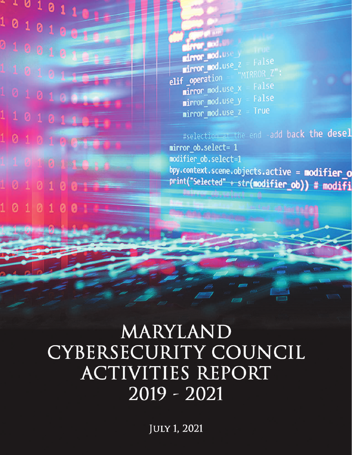$101011$  $\begin{array}{c|cccc}\n1 & 0 & 1 & 0 & 1 & 0 \\
\hline\n0 & 1 & 0 & 1 & 0 & 1 & 0 \\
\hline\n0 & 1 & 0 & 0 & 1 & 0\n\end{array}$ 0100101  $1 1 0 1 0 1 1$ 10101001 110101101  $1010100100$  $10101101$  $10101000$ 10101001

**From Booth Street** airror\_sod.use\_y False mirror\_mod.use\_z **airror\_mod.use\_2**<br>elif \_operation == "MIRROR\_Z": False mirror\_mod.use\_x False mirror\_mod.use\_y mirror\_mod.use\_z True

#selection-at the end -add back the desel mirror ob.select= 1 modifier ob.select=1 bpy.context.scene.objects.active = modifier\_o print("Selected" + str(modifier\_ob)) # modifi **Unimerce**brusiaet

# MARYLAND CYBERSECURITY COUNCIL ACTIVITIES REPORT 2019-2021

JULY 1, 2021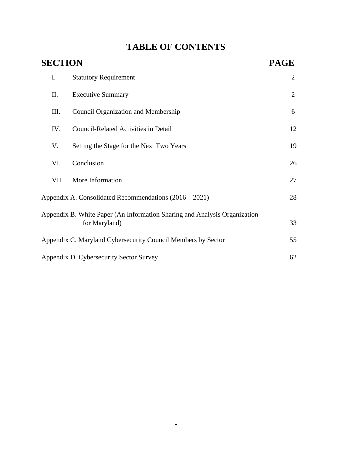# **TABLE OF CONTENTS**

| <b>SECTION</b> |                                                                                            |    |
|----------------|--------------------------------------------------------------------------------------------|----|
| I.             | <b>Statutory Requirement</b>                                                               | 2  |
| Π.             | <b>Executive Summary</b>                                                                   | 2  |
| Ш.             | <b>Council Organization and Membership</b>                                                 | 6  |
| IV.            | <b>Council-Related Activities in Detail</b>                                                | 12 |
| V.             | Setting the Stage for the Next Two Years                                                   | 19 |
| VI.            | Conclusion                                                                                 | 26 |
| VII.           | More Information                                                                           | 27 |
|                | Appendix A. Consolidated Recommendations $(2016 - 2021)$                                   | 28 |
|                | Appendix B. White Paper (An Information Sharing and Analysis Organization<br>for Maryland) | 33 |
|                | Appendix C. Maryland Cybersecurity Council Members by Sector                               | 55 |
|                | Appendix D. Cybersecurity Sector Survey                                                    | 62 |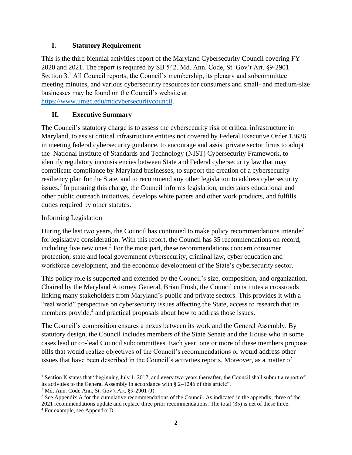#### **I. Statutory Requirement**

This is the third biennial activities report of the Maryland Cybersecurity Council covering FY 2020 and 2021. The report is required by SB 542. Md. Ann. Code, St. Gov't Art. §9-2901 Section  $3<sup>1</sup>$  All Council reports, the Council's membership, its plenary and subcommittee meeting minutes, and various cybersecurity resources for consumers and small- and medium-size businesses may be found on the Council's website at

[https://www.umgc.edu/mdcybersecuritycouncil.](https://www.umgc.edu/mdcybersecuritycouncil)

#### **II. Executive Summary**

The Council's statutory charge is to assess the cybersecurity risk of critical infrastructure in Maryland, to assist critical infrastructure entities not covered by Federal Executive Order 13636 in meeting federal cybersecurity guidance, to encourage and assist private sector firms to adopt the National Institute of Standards and Technology (NIST) Cybersecurity Framework, to identify regulatory inconsistencies between State and Federal cybersecurity law that may complicate compliance by Maryland businesses, to support the creation of a cybersecurity resiliency plan for the State, and to recommend any other legislation to address cybersecurity issues.<sup>2</sup> In pursuing this charge, the Council informs legislation, undertakes educational and other public outreach initiatives, develops white papers and other work products, and fulfills duties required by other statutes.

#### Informing Legislation

During the last two years, the Council has continued to make policy recommendations intended for legislative consideration. With this report, the Council has 35 recommendations on record, including five new ones.<sup>3</sup> For the most part, these recommendations concern consumer protection, state and local government cybersecurity, criminal law, cyber education and workforce development, and the economic development of the State's cybersecurity sector.

This policy role is supported and extended by the Council's size, composition, and organization. Chaired by the Maryland Attorney General, Brian Frosh, the Council constitutes a crossroads linking many stakeholders from Maryland's public and private sectors. This provides it with a "real world" perspective on cybersecurity issues affecting the State, access to research that its members provide,<sup>4</sup> and practical proposals about how to address those issues.

The Council's composition ensures a nexus between its work and the General Assembly. By statutory design, the Council includes members of the State Senate and the House who in some cases lead or co-lead Council subcommittees. Each year, one or more of these members propose bills that would realize objectives of the Council's recommendations or would address other issues that have been described in the Council's activities reports. Moreover, as a matter of

<sup>1</sup> Section K states that "beginning July 1, 2017, and every two years thereafter, the Council shall submit a report of its activities to the General Assembly in accordance with § 2–1246 of this article".

 $2^2$  Md. Ann. Code Ann, St. Gov't Art. §9-2901 (J).

<sup>&</sup>lt;sup>3</sup> See Appendix A for the cumulative recommendations of the Council. As indicated in the appendix, three of the

<sup>2021</sup> recommendations update and replace three prior recommendations. The total (35) is net of these three. 4 For example, see Appendix D.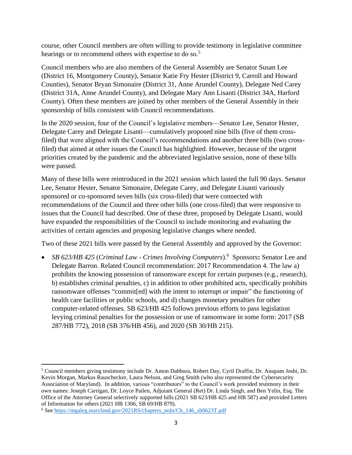course, other Council members are often willing to provide testimony in legislative committee hearings or to recommend others with expertise to do so.<sup>5</sup>

Council members who are also members of the General Assembly are Senator Susan Lee (District 16, Montgomery County), Senator Katie Fry Hester (District 9, Carroll and Howard Counties), Senator Bryan Simonaire (District 31, Anne Arundel County), Delegate Ned Carey (District 31A, Anne Arundel County), and Delegate Mary Ann Lisanti (District 34A, Harford County). Often these members are joined by other members of the General Assembly in their sponsorship of bills consistent with Council recommendations.

In the 2020 session, four of the Council's legislative members—Senator Lee, Senator Hester, Delegate Carey and Delegate Lisanti—cumulatively proposed nine bills (five of them crossfiled) that were aligned with the Council's recommendations and another three bills (two crossfiled) that aimed at other issues the Council has highlighted. However, because of the urgent priorities created by the pandemic and the abbreviated legislative session, none of these bills were passed.

Many of these bills were reintroduced in the 2021 session which lasted the full 90 days. Senator Lee, Senator Hester, Senator Simonaire, Delegate Carey, and Delegate Lisanti variously sponsored or co-sponsored seven bills (six cross-filed) that were connected with recommendations of the Council and three other bills (one cross-filed) that were responsive to issues that the Council had described. One of these three, proposed by Delegate Lisanti, would have expanded the responsibilities of the Council to include monitoring and evaluating the activities of certain agencies and proposing legislative changes where needed.

Two of these 2021 bills were passed by the General Assembly and approved by the Governor:

• *SB 623/HB 425 (Criminal Law - Crimes Involving Computers).*<sup>6</sup> Sponsors: Senator Lee and Delegate Barron. Related Council recommendation: 2017 Recommendation 4. The law a) prohibits the knowing possession of ransomware except for certain purposes (e.g., research), b) establishes criminal penalties, c) in addition to other prohibited acts, specifically prohibits ransomware offenses "commit[ed] with the intent to interrupt or impair" the functioning of health care facilities or public schools, and d) changes monetary penalties for other computer-related offenses. SB 623/HB 425 follows previous efforts to pass legislation levying criminal penalties for the possession or use of ransomware in some form: 2017 (SB 287/HB 772), 2018 (SB 376/HB 456), and 2020 (SB 30/HB 215).

<sup>5</sup> Council members giving testimony include Dr. Anton Dahbura, Robert Day, Cyril Draffin, Dr. Anupam Joshi, Dr. Kevin Morgan, Markus Rauschecker, Laura Nelson, and Greg Smith (who also represented the Cybersecurity Association of Maryland). In addition, various "contributors" to the Council's work provided testimony in their own names: Joseph Carrigan, Dr. Loyce Pailen, Adjutant General (Ret) Dr. Linda Singh, and Ben Yelin, Esq. The Office of the Attorney General selectively supported bills (2021 SB 623/HB 425 and HB 587) and provided Letters of Information for others (2021 HB 1306, SB 69/HB 879).

<sup>&</sup>lt;sup>6</sup> Se[e https://mgaleg.maryland.gov/2021RS/chapters\\_noln/Ch\\_146\\_sb0623T.pdf](https://mgaleg.maryland.gov/2021RS/chapters_noln/Ch_146_sb0623T.pdf)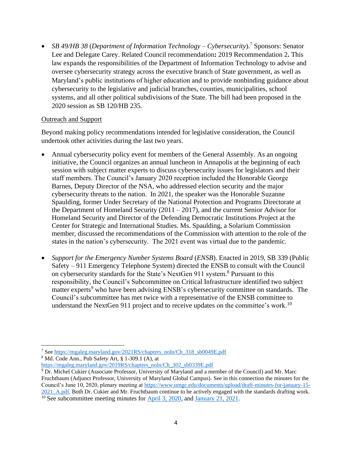• *SB 49/HB 38 (Department of Information Technology – Cybersecurity*).<sup>7</sup> Sponsors: Senator Lee and Delegate Carey. Related Council recommendation**:** 2019 Recommendation 2**.** This law expands the responsibilities of the Department of Information Technology to advise and oversee cybersecurity strategy across the executive branch of State government, as well as Maryland's public institutions of higher education and to provide nonbinding guidance about cybersecurity to the legislative and judicial branches, counties, municipalities, school systems, and all other political subdivisions of the State. The bill had been proposed in the 2020 session as SB 120/HB 235.

#### Outreach and Support

Beyond making policy recommendations intended for legislative consideration, the Council undertook other activities during the last two years.

- Annual cybersecurity policy event for members of the General Assembly. As an ongoing initiative, the Council organizes an annual luncheon in Annapolis at the beginning of each session with subject matter experts to discuss cybersecurity issues for legislators and their staff members. The Council's January 2020 reception included the Honorable George Barnes, Deputy Director of the NSA, who addressed election security and the major cybersecurity threats to the nation. In 2021, the speaker was the Honorable Suzanne Spaulding, former Under Secretary of the National Protection and Programs Directorate at the Department of Homeland Security (2011 – 2017), and the current Senior Advisor for Homeland Security and Director of the Defending Democratic Institutions Project at the Center for Strategic and International Studies. Ms. Spaulding, a Solarium Commission member, discussed the recommendations of the Commission with attention to the role of the states in the nation's cybersecurity. The 2021 event was virtual due to the pandemic.
- *Support for the Emergency Number Systems Board* (*ENSB*). Enacted in 2019, SB 339 (Public Safety – 911 Emergency Telephone System) directed the ENSB to consult with the Council on cybersecurity standards for the State's NextGen 911 system. <sup>8</sup> Pursuant to this responsibility, the Council's Subcommittee on Critical Infrastructure identified two subject matter experts<sup>9</sup> who have been advising ENSB's cybersecurity committee on standards. The Council's subcommittee has met twice with a representative of the ENSB committee to understand the NextGen 911 project and to receive updates on the committee's work.<sup>10</sup>

<sup>&</sup>lt;sup>7</sup> See https://mgaleg.maryland.gov/2021RS/chapters\_noln/Ch\_318\_sb0049E.pdf

<sup>8</sup> Md. Code Ann., Pub Safety Art, § 1-309.1 (A), at

[https://mgaleg.maryland.gov/2019RS/chapters\\_noln/Ch\\_302\\_sb0339E.pdf](https://mgaleg.maryland.gov/2019RS/chapters_noln/Ch_302_sb0339E.pdf) 

<sup>&</sup>lt;sup>9</sup> Dr. Michel Cukier (Associate Professor, University of Maryland and a member of the Council) and Mr. Marc Fruchtbaum (Adjunct Professor, University of Maryland Global Campus). See in this connection the minutes for the Council's June 10, 2020, plenary meeting at [https://www.umgc.edu/documents/upload/draft-minutes-for-january-15-](https://www.umgc.edu/documents/upload/draft-minutes-for-january-15-2021_A.pdf) [2021\\_A.pdf](https://www.umgc.edu/documents/upload/draft-minutes-for-january-15-2021_A.pdf). Both Dr. Cukier and Mr. Fruchtbaum continue to be actively engaged with the standards drafting work.

<sup>&</sup>lt;sup>10</sup> See subcommittee meeting minutes for **April 3, 2020**, and **January 21, 2021**.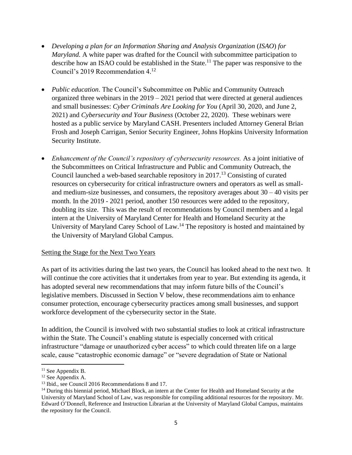- *Developing a plan for an Information Sharing and Analysis Organization (ISAO) for Maryland.* A white paper was drafted for the Council with subcommittee participation to describe how an ISAO could be established in the State.<sup>11</sup> The paper was responsive to the Council's 2019 Recommendation 4. 12
- *Public education*. The Council's Subcommittee on Public and Community Outreach organized three webinars in the 2019 – 2021 period that were directed at general audiences and small businesses: *Cyber Criminals Are Looking for You* (April 30, 2020, and June 2, 2021) and *Cybersecurity and Your Business* (October 22, 2020). These webinars were hosted as a public service by Maryland CASH. Presenters included Attorney General Brian Frosh and Joseph Carrigan, Senior Security Engineer, Johns Hopkins University Information Security Institute.
- *Enhancement of the Council's repository of cybersecurity resources.* As a joint initiative of the Subcommittees on Critical Infrastructure and Public and Community Outreach, the Council launched a web-based searchable repository in  $2017<sup>13</sup>$  Consisting of curated resources on cybersecurity for critical infrastructure owners and operators as well as smalland medium-size businesses, and consumers, the repository averages about  $30 - 40$  visits per month. In the 2019 - 2021 period, another 150 resources were added to the repository, doubling its size. This was the result of recommendations by Council members and a legal intern at the University of Maryland Center for Health and Homeland Security at the University of Maryland Carey School of Law.<sup>14</sup> The repository is hosted and maintained by the University of Maryland Global Campus.

#### Setting the Stage for the Next Two Years

As part of its activities during the last two years, the Council has looked ahead to the next two. It will continue the core activities that it undertakes from year to year. But extending its agenda, it has adopted several new recommendations that may inform future bills of the Council's legislative members. Discussed in Section V below, these recommendations aim to enhance consumer protection, encourage cybersecurity practices among small businesses, and support workforce development of the cybersecurity sector in the State.

In addition, the Council is involved with two substantial studies to look at critical infrastructure within the State. The Council's enabling statute is especially concerned with critical infrastructure "damage or unauthorized cyber access" to which could threaten life on a large scale, cause "catastrophic economic damage" or "severe degradation of State or National

 $11$  See Appendix B.

<sup>12</sup> See Appendix A.

<sup>&</sup>lt;sup>13</sup> Ibid., see Council 2016 Recommendations 8 and 17.

<sup>&</sup>lt;sup>14</sup> During this biennial period, Michael Block, an intern at the Center for Health and Homeland Security at the University of Maryland School of Law, was responsible for compiling additional resources for the repository. Mr. Edward O'Donnell, Reference and Instruction Librarian at the University of Maryland Global Campus, maintains the repository for the Council.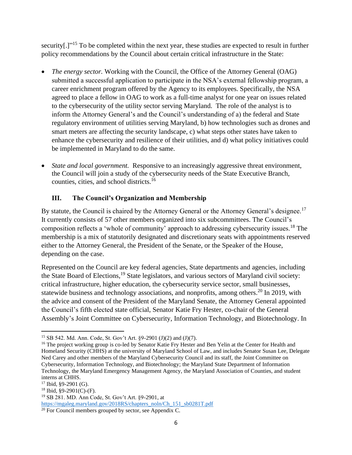security[.]"<sup>15</sup> To be completed within the next year, these studies are expected to result in further policy recommendations by the Council about certain critical infrastructure in the State:

- *The energy sector.* Working with the Council, the Office of the Attorney General (OAG) submitted a successful application to participate in the NSA's external fellowship program, a career enrichment program offered by the Agency to its employees. Specifically, the NSA agreed to place a fellow in OAG to work as a full-time analyst for one year on issues related to the cybersecurity of the utility sector serving Maryland. The role of the analyst is to inform the Attorney General's and the Council's understanding of a) the federal and State regulatory environment of utilities serving Maryland, b) how technologies such as drones and smart meters are affecting the security landscape, c) what steps other states have taken to enhance the cybersecurity and resilience of their utilities, and d) what policy initiatives could be implemented in Maryland to do the same.
- *State and local government.* Responsive to an increasingly aggressive threat environment, the Council will join a study of the cybersecurity needs of the State Executive Branch, counties, cities, and school districts.<sup>16</sup>

#### **III. The Council's Organization and Membership**

By statute, the Council is chaired by the Attorney General or the Attorney General's designee.<sup>17</sup> It currently consists of 57 other members organized into six subcommittees. The Council's composition reflects a 'whole of community' approach to addressing cybersecurity issues.<sup>18</sup> The membership is a mix of statutorily designated and discretionary seats with appointments reserved either to the Attorney General, the President of the Senate, or the Speaker of the House, depending on the case.

Represented on the Council are key federal agencies, State departments and agencies, including the State Board of Elections,<sup>19</sup> State legislators, and various sectors of Maryland civil society: critical infrastructure, higher education, the cybersecurity service sector, small businesses, statewide business and technology associations, and nonprofits, among others.<sup>20</sup> In 2019, with the advice and consent of the President of the Maryland Senate, the Attorney General appointed the Council's fifth elected state official, Senator Katie Fry Hester, co-chair of the General Assembly's Joint Committee on Cybersecurity, Information Technology, and Biotechnology. In

<sup>15</sup> SB 542. Md. Ann. Code, St. Gov't Art. §9-2901 (J)(2) and (J)(7).

<sup>&</sup>lt;sup>16</sup> The project working group is co-led by Senator Katie Fry Hester and Ben Yelin at the Center for Health and Homeland Security (CHHS) at the university of Maryland School of Law, and includes Senator Susan Lee, Delegate Ned Carey and other members of the Maryland Cybersecurity Council and its staff, the Joint Committee on Cybersecurity, Information Technology, and Biotechnology; the Maryland State Department of Information Technology, the Maryland Emergency Management Agency, the Maryland Association of Counties, and student interns at CHHS.

<sup>&</sup>lt;sup>17</sup> Ibid, §9-2901 (G).

 $18$  Ibid, §9-2901(C)-(F).

<sup>19</sup> SB 281. MD. Ann Code, St. Gov't Art. §9-2901, at [https://mgaleg.maryland.gov/2018RS/chapters\\_noln/Ch\\_151\\_sb0281T.pdf](https://mgaleg.maryland.gov/2018RS/chapters_noln/Ch_151_sb0281T.pdf) 

<sup>&</sup>lt;sup>20</sup> For Council members grouped by sector, see Appendix C.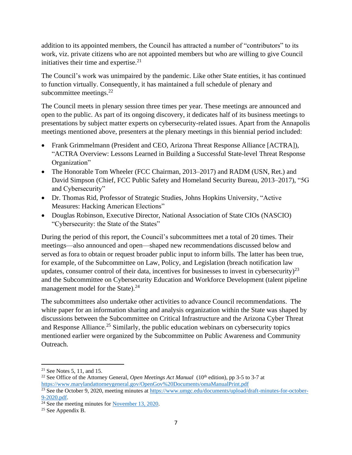addition to its appointed members, the Council has attracted a number of "contributors" to its work, viz. private citizens who are not appointed members but who are willing to give Council initiatives their time and expertise. $21$ 

The Council's work was unimpaired by the pandemic. Like other State entities, it has continued to function virtually. Consequently, it has maintained a full schedule of plenary and subcommittee meetings. $^{22}$ 

The Council meets in plenary session three times per year. These meetings are announced and open to the public. As part of its ongoing discovery, it dedicates half of its business meetings to presentations by subject matter experts on cybersecurity-related issues. Apart from the Annapolis meetings mentioned above, presenters at the plenary meetings in this biennial period included:

- Frank Grimmelmann (President and CEO, Arizona Threat Response Alliance [ACTRA]), "ACTRA Overview: Lessons Learned in Building a Successful State-level Threat Response Organization"
- The Honorable Tom Wheeler (FCC Chairman, 2013–2017) and RADM (USN, Ret.) and David Simpson (Chief, FCC Public Safety and Homeland Security Bureau, 2013–2017), "5G and Cybersecurity"
- Dr. Thomas Rid, Professor of Strategic Studies, Johns Hopkins University, "Active Measures: Hacking American Elections"
- Douglas Robinson, Executive Director, National Association of State CIOs (NASCIO) "Cybersecurity: the State of the States"

During the period of this report, the Council's subcommittees met a total of 20 times. Their meetings—also announced and open—shaped new recommendations discussed below and served as fora to obtain or request broader public input to inform bills. The latter has been true, for example, of the Subcommittee on Law, Policy, and Legislation (breach notification law updates, consumer control of their data, incentives for businesses to invest in cybersecurity)<sup>23</sup> and the Subcommittee on Cybersecurity Education and Workforce Development (talent pipeline management model for the State).<sup>24</sup>

The subcommittees also undertake other activities to advance Council recommendations. The white paper for an information sharing and analysis organization within the State was shaped by discussions between the Subcommittee on Critical Infrastructure and the Arizona Cyber Threat and Response Alliance.<sup>25</sup> Similarly, the public education webinars on cybersecurity topics mentioned earlier were organized by the Subcommittee on Public Awareness and Community Outreach.

<sup>&</sup>lt;sup>21</sup> See Notes 5, 11, and 15.

<sup>&</sup>lt;sup>22</sup> See Office of the Attorney General, *Open Meetings Act Manual* (10<sup>th</sup> edition), pp 3-5 to 3-7 at <https://www.marylandattorneygeneral.gov/OpenGov%20Documents/omaManualPrint.pdf>

<sup>&</sup>lt;sup>23</sup> See the October 9, 2020, meeting minutes at [https://www.umgc.edu/documents/upload/draft-minutes-for-october-](https://www.umgc.edu/documents/upload/draft-minutes-for-october-9-2020.pdf)[9-2020.pdf.](https://www.umgc.edu/documents/upload/draft-minutes-for-october-9-2020.pdf)

 $24$  See the meeting minutes fo[r November 13, 2020.](https://www.umgc.edu/content/dam/umgc/documents/upload/minutes-for-november-13-2020.pdf)

<sup>25</sup> See Appendix B.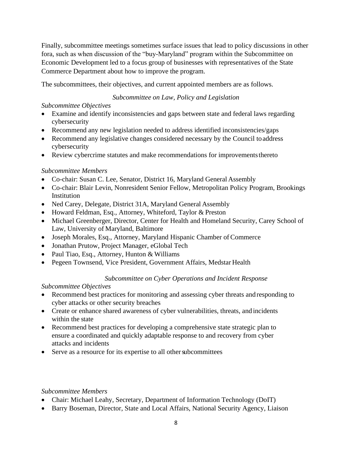Finally, subcommittee meetings sometimes surface issues that lead to policy discussions in other fora, such as when discussion of the "buy-Maryland" program within the Subcommittee on Economic Development led to a focus group of businesses with representatives of the State Commerce Department about how to improve the program.

The subcommittees, their objectives, and current appointed members are as follows.

#### *Subcommittee on Law, Policy and Legislation*

#### *Subcommittee Objectives*

- Examine and identify inconsistencies and gaps between state and federal laws regarding cybersecurity
- Recommend any new legislation needed to address identified inconsistencies/gaps
- Recommend any legislative changes considered necessary by the Council to address cybersecurity
- Review cybercrime statutes and make recommendations for improvements thereto

#### *Subcommittee Members*

- Co-chair: Susan C. Lee, Senator, District 16, Maryland General Assembly
- Co-chair: Blair Levin, Nonresident Senior Fellow, Metropolitan Policy Program, Brookings Institution
- Ned Carey, Delegate, District 31A, Maryland General Assembly
- Howard Feldman, Esq., Attorney, Whiteford, Taylor & Preston
- Michael Greenberger, Director, Center for Health and Homeland Security, Carey School of Law, University of Maryland, Baltimore
- Joseph Morales, Esq., Attorney, Maryland Hispanic Chamber of Commerce
- Jonathan Prutow, Project Manager, eGlobal Tech
- Paul Tiao, Esq., Attorney, Hunton & Williams
- Pegeen Townsend, Vice President, Government Affairs, Medstar Health

#### *Subcommittee on Cyber Operations and Incident Response*

#### *Subcommittee Objectives*

- Recommend best practices for monitoring and assessing cyber threats and responding to cyber attacks or other security breaches
- Create or enhance shared awareness of cyber vulnerabilities, threats, and incidents within the state
- Recommend best practices for developing a comprehensive state strategic plan to ensure a coordinated and quickly adaptable response to and recovery from cyber attacks and incidents
- Serve as a resource for its expertise to all other subcommittees

#### *Subcommittee Members*

- Chair: Michael Leahy, Secretary, Department of Information Technology (DoIT)
- Barry Boseman, Director, State and Local Affairs, National Security Agency, Liaison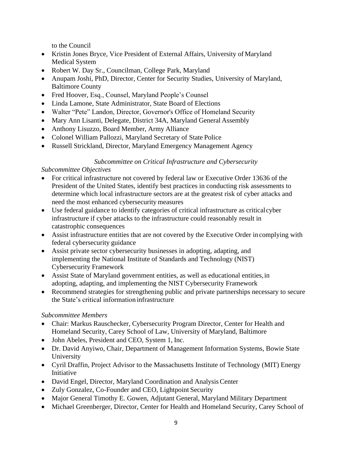to the Council

- Kristin Jones Bryce, Vice President of External Affairs, University of Maryland Medical System
- Robert W. Day Sr., Councilman, College Park, Maryland
- Anupam Joshi, PhD, Director, Center for Security Studies, University of Maryland, Baltimore County
- Fred Hoover, Esq., Counsel, Maryland People's Counsel
- Linda Lamone, State Administrator, State Board of Elections
- Walter "Pete" Landon, Director, Governor's Office of Homeland Security
- Mary Ann Lisanti, Delegate, District 34A, Maryland General Assembly
- Anthony Lisuzzo, Board Member, Army Alliance
- Colonel William Pallozzi, Maryland Secretary of State Police
- Russell Strickland, Director, Maryland Emergency Management Agency

#### *Subcommittee on Critical Infrastructure and Cybersecurity*

#### *Subcommittee Objectives*

- For critical infrastructure not covered by federal law or Executive Order 13636 of the President of the United States, identify best practices in conducting risk assessments to determine which local infrastructure sectors are at the greatest risk of cyber attacks and need the most enhanced cybersecurity measures
- Use federal guidance to identify categories of critical infrastructure as critical cyber infrastructure if cyber attacks to the infrastructure could reasonably result in catastrophic consequences
- Assist infrastructure entities that are not covered by the Executive Order in complying with federal cybersecurity guidance
- Assist private sector cybersecurity businesses in adopting, adapting, and implementing the National Institute of Standards and Technology (NIST) Cybersecurity Framework
- Assist State of Maryland government entities, as well as educational entities, in adopting, adapting, and implementing the NIST Cybersecurity Framework
- Recommend strategies for strengthening public and private partnerships necessary to secure the State's critical information infrastructure

#### *Subcommittee Members*

- Chair: Markus Rauschecker, Cybersecurity Program Director, Center for Health and Homeland Security, Carey School of Law, University of Maryland, Baltimore
- John Abeles, President and CEO, System 1, Inc.
- Dr. David Anyiwo, Chair, Department of Management Information Systems, Bowie State University
- Cyril Draffin, Project Advisor to the Massachusetts Institute of Technology (MIT) Energy Initiative
- David Engel, Director, Maryland Coordination and Analysis Center
- Zuly Gonzalez, Co-Founder and CEO, Lightpoint Security
- Major General Timothy E. Gowen, Adjutant General, Maryland Military Department
- Michael Greenberger, Director, Center for Health and Homeland Security, Carey School of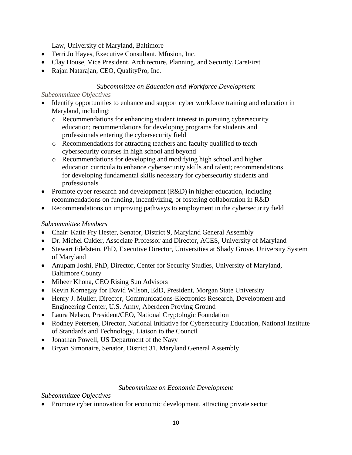Law, University of Maryland, Baltimore

- Terri Jo Hayes, Executive Consultant, Mfusion, Inc.
- Clay House, Vice President, Architecture, Planning, and Security, CareFirst
- Rajan Natarajan, CEO, QualityPro, Inc.

#### *Subcommittee on Education and Workforce Development*

#### *Subcommittee Objectives*

- Identify opportunities to enhance and support cyber workforce training and education in Maryland, including:
	- o Recommendations for enhancing student interest in pursuing cybersecurity education; recommendations for developing programs for students and professionals entering the cybersecurity field
	- o Recommendations for attracting teachers and faculty qualified to teach cybersecurity courses in high school and beyond
	- o Recommendations for developing and modifying high school and higher education curricula to enhance cybersecurity skills and talent; recommendations for developing fundamental skills necessary for cybersecurity students and professionals
- Promote cyber research and development (R&D) in higher education, including recommendations on funding, incentivizing, or fostering collaboration in R&D
- Recommendations on improving pathways to employment in the cybersecurity field

#### *Subcommittee Members*

- Chair: Katie Fry Hester, Senator, District 9, Maryland General Assembly
- Dr. Michel Cukier, Associate Professor and Director, ACES, University of Maryland
- Stewart Edelstein, PhD, Executive Director, Universities at Shady Grove, University System of Maryland
- Anupam Joshi, PhD, Director, Center for Security Studies, University of Maryland, Baltimore County
- Miheer Khona, CEO Rising Sun Advisors
- Kevin Kornegay for David Wilson, EdD, President, Morgan State University
- Henry J. Muller, Director, Communications-Electronics Research, Development and Engineering Center, U.S. Army, Aberdeen Proving Ground
- Laura Nelson, President/CEO, National Cryptologic Foundation
- Rodney Petersen, Director, National Initiative for Cybersecurity Education, National Institute of Standards and Technology, Liaison to the Council
- Jonathan Powell, US Department of the Navy
- Bryan Simonaire, Senator, District 31, Maryland General Assembly

#### *Subcommittee on Economic Development*

#### *Subcommittee Objectives*

• Promote cyber innovation for economic development, attracting private sector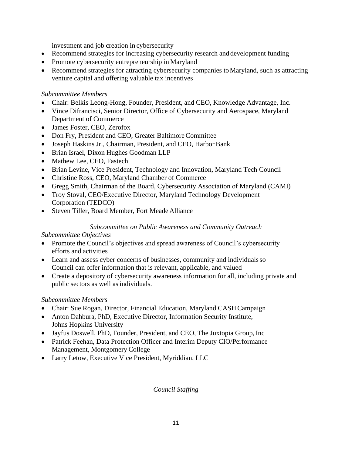investment and job creation in cybersecurity

- Recommend strategies for increasing cybersecurity research and development funding
- Promote cybersecurity entrepreneurship in Maryland
- Recommend strategies for attracting cybersecurity companies to Maryland, such as attracting venture capital and offering valuable tax incentives

#### *Subcommittee Members*

- Chair: Belkis Leong-Hong, Founder, President, and CEO, Knowledge Advantage, Inc.
- Vince Difrancisci, Senior Director, Office of Cybersecurity and Aerospace, Maryland Department of Commerce
- James Foster, CEO, Zerofox
- Don Fry, President and CEO, Greater Baltimore Committee
- Joseph Haskins Jr., Chairman, President, and CEO, Harbor Bank
- Brian Israel, Dixon Hughes Goodman LLP
- Mathew Lee, CEO, Fastech
- Brian Levine, Vice President, Technology and Innovation, Maryland Tech Council
- Christine Ross, CEO, Maryland Chamber of Commerce
- Gregg Smith, Chairman of the Board, Cybersecurity Association of Maryland (CAMI)
- Troy Stoval, CEO/Executive Director, Maryland Technology Development Corporation (TEDCO)
- Steven Tiller, Board Member, Fort Meade Alliance

#### *Subcommittee on Public Awareness and Community Outreach*

#### *Subcommittee Objectives*

- Promote the Council's objectives and spread awareness of Council's cybersecurity efforts and activities
- Learn and assess cyber concerns of businesses, community and individuals so Council can offer information that is relevant, applicable, and valued
- Create a depository of cybersecurity awareness information for all, including private and public sectors as well as individuals.

#### *Subcommittee Members*

- Chair: Sue Rogan, Director, Financial Education, Maryland CASH Campaign
- Anton Dahbura, PhD, Executive Director, Information Security Institute, Johns Hopkins University
- Jayfus Doswell, PhD, Founder, President, and CEO, The Juxtopia Group, Inc
- Patrick Feehan, Data Protection Officer and Interim Deputy CIO/Performance Management, Montgomery College
- Larry Letow, Executive Vice President, Myriddian, LLC

*Council Staffing*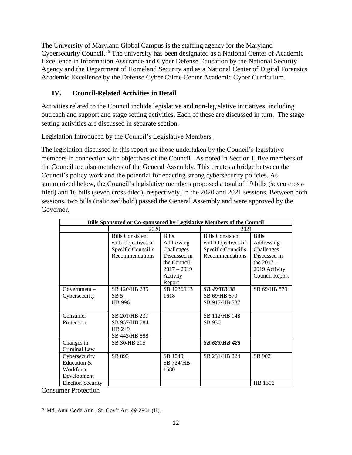The University of Maryland Global Campus is the staffing agency for the Maryland Cybersecurity Council.<sup>26</sup> The university has been designated as a National Center of Academic Excellence in Information Assurance and Cyber Defense Education by the National Security Agency and the Department of Homeland Security and as a National Center of Digital Forensics Academic Excellence by the Defense Cyber Crime Center Academic Cyber Curriculum.

#### **IV. Council-Related Activities in Detail**

Activities related to the Council include legislative and non-legislative initiatives, including outreach and support and stage setting activities. Each of these are discussed in turn. The stage setting activities are discussed in separate section.

#### Legislation Introduced by the Council's Legislative Members

The legislation discussed in this report are those undertaken by the Council's legislative members in connection with objectives of the Council. As noted in Section I, five members of the Council are also members of the General Assembly. This creates a bridge between the Council's policy work and the potential for enacting strong cybersecurity policies. As summarized below, the Council's legislative members proposed a total of 19 bills (seven crossfiled) and 16 bills (seven cross-filed), respectively, in the 2020 and 2021 sessions. Between both sessions, two bills (italicized/bold) passed the General Assembly and were approved by the Governor.

| Bills Sponsored or Co-sponsored by Legislative Members of the Council |                                                                                        |                                                                                                      |                                                                                        |                                                                                                             |
|-----------------------------------------------------------------------|----------------------------------------------------------------------------------------|------------------------------------------------------------------------------------------------------|----------------------------------------------------------------------------------------|-------------------------------------------------------------------------------------------------------------|
|                                                                       | 2020                                                                                   |                                                                                                      | 2021                                                                                   |                                                                                                             |
|                                                                       | <b>Bills Consistent</b><br>with Objectives of<br>Specific Council's<br>Recommendations | <b>Bills</b><br>Addressing<br>Challenges<br>Discussed in<br>the Council<br>$2017 - 2019$<br>Activity | <b>Bills Consistent</b><br>with Objectives of<br>Specific Council's<br>Recommendations | <b>Bills</b><br>Addressing<br>Challenges<br>Discussed in<br>the $2017 -$<br>2019 Activity<br>Council Report |
| $Government -$<br>Cybersecurity                                       | SB 120/HB 235<br>SB <sub>5</sub><br>HB 996                                             | Report<br>SB 1036/HB<br>1618                                                                         | <b>SB 49/HB 38</b><br>SB 69/HB 879<br>SB 917/HB 587                                    | SB 69/HB 879                                                                                                |
| Consumer<br>Protection                                                | SB 201/HB 237<br>SB 957/HB 784<br>HB 249<br>SB 443/HB 888                              |                                                                                                      | SB 112/HB 148<br>SB 930                                                                |                                                                                                             |
| Changes in<br>Criminal Law                                            | SB 30/HB 215                                                                           |                                                                                                      | SB 623/HB 425                                                                          |                                                                                                             |
| Cybersecurity<br>Education &<br>Workforce<br>Development              | SB 893                                                                                 | SB 1049<br><b>SB 724/HB</b><br>1580                                                                  | SB 231/HB 824                                                                          | SB 902                                                                                                      |
| <b>Election Security</b>                                              |                                                                                        |                                                                                                      |                                                                                        | HB 1306                                                                                                     |

Consumer Protection

<sup>26</sup> Md. Ann. Code Ann., St. Gov't Art. §9-2901 (H).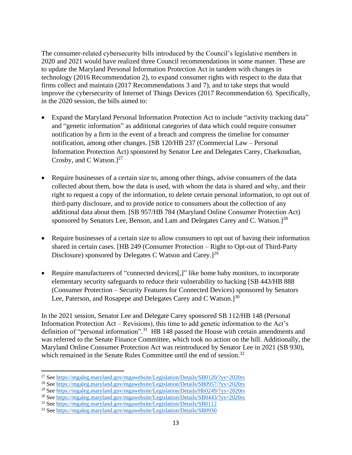The consumer-related cybersecurity bills introduced by the Council's legislative members in 2020 and 2021 would have realized three Council recommendations in some manner. These are to update the Maryland Personal Information Protection Act in tandem with changes in technology (2016 Recommendation 2), to expand consumer rights with respect to the data that firms collect and maintain (2017 Recommendations 3 and 7), and to take steps that would improve the cybersecurity of Internet of Things Devices (2017 Recommendation 6). Specifically, in the 2020 session, the bills aimed to:

- Expand the Maryland Personal Information Protection Act to include "activity tracking data" and "genetic information" as additional categories of data which could require consumer notification by a firm in the event of a breach and compress the timeline for consumer notification, among other changes. [SB 120/HB 237 (Commercial Law – Personal Information Protection Act) sponsored by Senator Lee and Delegates Carey, Charkoudian, Crosby, and C Watson. $]^{27}$
- Require businesses of a certain size to, among other things, advise consumers of the data collected about them, how the data is used, with whom the data is shared and why, and their right to request a copy of the information, to delete certain personal information, to opt out of third-party disclosure, and to provide notice to consumers about the collection of any additional data about them. [SB 957/HB 784 (Maryland Online Consumer Protection Act) sponsored by Senators Lee, Benson, and Lam and Delegates Carey and C. Watson.<sup>128</sup>
- Require businesses of a certain size to allow consumers to opt out of having their information shared in certain cases. [HB 249 (Consumer Protection – Right to Opt-out of Third-Party Disclosure) sponsored by Delegates C Watson and Carey.]<sup>29</sup>
- Require manufacturers of "connected devices[,]" like home baby monitors, to incorporate elementary security safeguards to reduce their vulnerability to hacking [SB 443/HB 888 (Consumer Protection – Security Features for Connected Devices) sponsored by Senators Lee, Paterson, and Rosapepe and Delegates Carey and C Watson.] $30$

In the 2021 session, Senator Lee and Delegate Carey sponsored SB 112/HB 148 (Personal Information Protection Act – Revisions), this time to add genetic information to the Act's definition of "personal information".<sup>31</sup> HB 148 passed the House with certain amendments and was referred to the Senate Finance Committee, which took no action on the bill. Additionally, the Maryland Online Consumer Protection Act was reintroduced by Senator Lee in 2021 (SB 930), which remained in the Senate Rules Committee until the end of session.<sup>32</sup>

<sup>27</sup> See<https://mgaleg.maryland.gov/mgawebsite/Legislation/Details/SB0120/?ys=2020rs>

<sup>28</sup> See<https://mgaleg.maryland.gov/mgawebsite/Legislation/Details/SB0957/?ys=2020rs>

<sup>&</sup>lt;sup>29</sup> See https://mgaleg.maryland.gov/mgawebsite/Legislation/Details/Hb0249/?ys=2020rs

<sup>30</sup> See<https://mgaleg.maryland.gov/mgawebsite/Legislation/Details/SB0443/?ys=2020rs>

<sup>31</sup> See<https://mgaleg.maryland.gov/mgawebsite/Legislation/Details/SB0112>

<sup>32</sup> See<https://mgaleg.maryland.gov/mgawebsite/Legislation/Details/SB0930>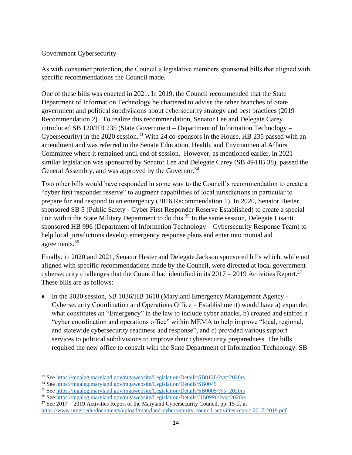#### Government Cybersecurity

As with consumer protection, the Council's legislative members sponsored bills that aligned with specific recommendations the Council made.

One of these bills was enacted in 2021. In 2019, the Council recommended that the State Department of Information Technology be chartered to advise the other branches of State government and political subdivisions about cybersecurity strategy and best practices (2019 Recommendation 2). To realize this recommendation, Senator Lee and Delegate Carey introduced SB 120/HB 235 (State Government – Department of Information Technology – Cybersecurity) in the 2020 session.<sup>33</sup> With 24 co-sponsors in the House, HB 235 passed with an amendment and was referred to the Senate Education, Health, and Environmental Affairs Committee where it remained until end of session. However, as mentioned earlier, in 2021 similar legislation was sponsored by Senator Lee and Delegate Carey (SB 49/HB 38), passed the General Assembly, and was approved by the Governor.<sup>34</sup>

Two other bills would have responded in some way to the Council's recommendation to create a "cyber first responder reserve" to augment capabilities of local jurisdictions in particular to prepare for and respond to an emergency (2016 Recommendation 1). In 2020, Senator Hester sponsored SB 5 (Public Safety - Cyber First Responder Reserve Established) to create a special unit within the State Military Department to do this.<sup>35</sup> In the same session, Delegate Lisanti sponsored HB 996 (Department of Information Technology – Cybersecurity Response Team) to help local jurisdictions develop emergency response plans and enter into mutual aid agreements.<sup>36</sup>

Finally, in 2020 and 2021, Senator Hester and Delegate Jackson sponsored bills which, while not aligned with specific recommendations made by the Council, were directed at local government cybersecurity challenges that the Council had identified in its  $2017 - 2019$  Activities Report.<sup>37</sup> These bills are as follows:

• In the 2020 session, SB 1036/HB 1618 (Maryland Emergency Management Agency - Cybersecurity Coordination and Operations Office – Establishment) would have a) expanded what constitutes an "Emergency" in the law to include cyber attacks, b) created and staffed a "cyber coordination and operations office" within MEMA to help improve "local, regional, and statewide cybersecurity readiness and response", and c) provided various support services to political subdivisions to improve their cybersecurity preparedness. The bills required the new office to consult with the State Department of Information Technology. SB

<sup>33</sup> See<https://mgaleg.maryland.gov/mgawebsite/Legislation/Details/SB0120/?ys=2020rs>

<sup>34</sup> See<https://mgaleg.maryland.gov/mgawebsite/Legislation/Details/SB0049>

<sup>35</sup> See<https://mgaleg.maryland.gov/mgawebsite/Legislation/Details/SB0005/?ys=2020rs>

<sup>36</sup> See<https://mgaleg.maryland.gov/mgawebsite/Legislation/Details/HB0996/?ys=2020rs>

 $37$  See 2017 – 2019 Activities Report of the Maryland Cybersecurity Council, pp. 15 ff, at <https://www.umgc.edu/documents/upload/maryland-cybersecurity-council-activities-report-2017-2019.pdf>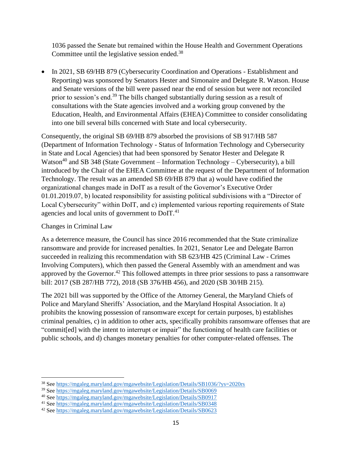1036 passed the Senate but remained within the House Health and Government Operations Committee until the legislative session ended.<sup>38</sup>

• In 2021, SB 69/HB 879 (Cybersecurity Coordination and Operations - Establishment and Reporting) was sponsored by Senators Hester and Simonaire and Delegate R. Watson. House and Senate versions of the bill were passed near the end of session but were not reconciled prior to session's end.<sup>39</sup> The bills changed substantially during session as a result of consultations with the State agencies involved and a working group convened by the Education, Health, and Environmental Affairs (EHEA) Committee to consider consolidating into one bill several bills concerned with State and local cybersecurity.

Consequently, the original SB 69/HB 879 absorbed the provisions of SB 917/HB 587 (Department of Information Technology - Status of Information Technology and Cybersecurity in State and Local Agencies) that had been sponsored by Senator Hester and Delegate R Watson<sup>40</sup> and SB 348 (State Government – Information Technology – Cybersecurity), a bill introduced by the Chair of the EHEA Committee at the request of the Department of Information Technology. The result was an amended SB 69/HB 879 that a) would have codified the organizational changes made in DoIT as a result of the Governor's Executive Order 01.01.2019.07, b) located responsibility for assisting political subdivisions with a "Director of Local Cybersecurity" within DoIT, and c) implemented various reporting requirements of State agencies and local units of government to DoIT.<sup>41</sup>

Changes in Criminal Law

As a deterrence measure, the Council has since 2016 recommended that the State criminalize ransomware and provide for increased penalties. In 2021, Senator Lee and Delegate Barron succeeded in realizing this recommendation with SB 623/HB 425 (Criminal Law - Crimes Involving Computers), which then passed the General Assembly with an amendment and was approved by the Governor.<sup>42</sup> This followed attempts in three prior sessions to pass a ransomware bill: 2017 (SB 287/HB 772), 2018 (SB 376/HB 456), and 2020 (SB 30/HB 215).

The 2021 bill was supported by the Office of the Attorney General, the Maryland Chiefs of Police and Maryland Sheriffs' Association, and the Maryland Hospital Association. It a) prohibits the knowing possession of ransomware except for certain purposes, b) establishes criminal penalties, c) in addition to other acts, specifically prohibits ransomware offenses that are "commit[ed] with the intent to interrupt or impair" the functioning of health care facilities or public schools, and d) changes monetary penalties for other computer-related offenses. The

<sup>38</sup> See<https://mgaleg.maryland.gov/mgawebsite/Legislation/Details/SB1036/?ys=2020rs>

<sup>39</sup> See<https://mgaleg.maryland.gov/mgawebsite/Legislation/Details/SB0069>

<sup>40</sup> See<https://mgaleg.maryland.gov/mgawebsite/Legislation/Details/SB0917>

<sup>41</sup> See<https://mgaleg.maryland.gov/mgawebsite/Legislation/Details/SB0348>

<sup>42</sup> See<https://mgaleg.maryland.gov/mgawebsite/Legislation/Details/SB0623>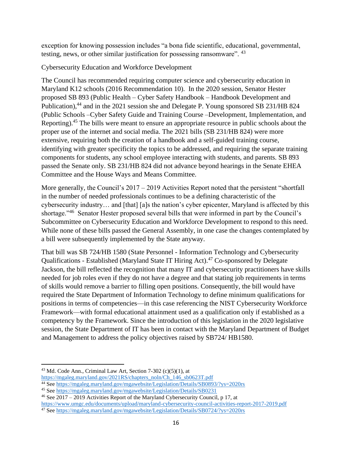exception for knowing possession includes "a bona fide scientific, educational, governmental, testing, news, or other similar justification for possessing ransomware". <sup>43</sup>

Cybersecurity Education and Workforce Development

The Council has recommended requiring computer science and cybersecurity education in Maryland K12 schools (2016 Recommendation 10). In the 2020 session, Senator Hester proposed SB 893 (Public Health – Cyber Safety Handbook – Handbook Development and Publication),<sup>44</sup> and in the 2021 session she and Delegate P. Young sponsored SB 231/HB 824 (Public Schools –Cyber Safety Guide and Training Course –Development, Implementation, and Reporting).<sup>45</sup> The bills were meant to ensure an appropriate resource in public schools about the proper use of the internet and social media. The 2021 bills (SB 231/HB 824) were more extensive, requiring both the creation of a handbook and a self-guided training course, identifying with greater specificity the topics to be addressed, and requiring the separate training components for students, any school employee interacting with students, and parents. SB 893 passed the Senate only. SB 231/HB 824 did not advance beyond hearings in the Senate EHEA Committee and the House Ways and Means Committee.

More generally, the Council's 2017 – 2019 Activities Report noted that the persistent "shortfall" in the number of needed professionals continues to be a defining characteristic of the cybersecurity industry… and [that] [a]s the nation's cyber epicenter, Maryland is affected by this shortage."<sup>46</sup> Senator Hester proposed several bills that were informed in part by the Council's Subcommittee on Cybersecurity Education and Workforce Development to respond to this need. While none of these bills passed the General Assembly, in one case the changes contemplated by a bill were subsequently implemented by the State anyway.

That bill was SB 724/HB 1580 (State Personnel - Information Technology and Cybersecurity Qualifications - Established (Maryland State IT Hiring Act).<sup>47</sup> Co-sponsored by Delegate Jackson, the bill reflected the recognition that many IT and cybersecurity practitioners have skills needed for job roles even if they do not have a degree and that stating job requirements in terms of skills would remove a barrier to filling open positions. Consequently, the bill would have required the State Department of Information Technology to define minimum qualifications for positions in terms of competencies—in this case referencing the NIST Cybersecurity Workforce Framework—with formal educational attainment used as a qualification only if established as a competency by the Framework. Since the introduction of this legislation in the 2020 legislative session, the State Department of IT has been in contact with the Maryland Department of Budget and Management to address the policy objectives raised by SB724/ HB1580.

<sup>&</sup>lt;sup>43</sup> Md. Code Ann., Criminal Law Art, Section 7-302 (c)(5)(1), at

https://mgaleg.maryland.gov/2021RS/chapters\_noln/Ch\_146\_sb0623T.pdf

<sup>44</sup> See<https://mgaleg.maryland.gov/mgawebsite/Legislation/Details/SB0893/?ys=2020rs>

<sup>45</sup> See<https://mgaleg.maryland.gov/mgawebsite/Legislation/Details/SB0231>

<sup>&</sup>lt;sup>46</sup> See  $\overline{2017} - \overline{2019}$  Activities Report of the Maryland Cybersecurity Council, p 17, at

<https://www.umgc.edu/documents/upload/maryland-cybersecurity-council-activities-report-2017-2019.pdf>

<sup>47</sup> See<https://mgaleg.maryland.gov/mgawebsite/Legislation/Details/SB0724/?ys=2020rs>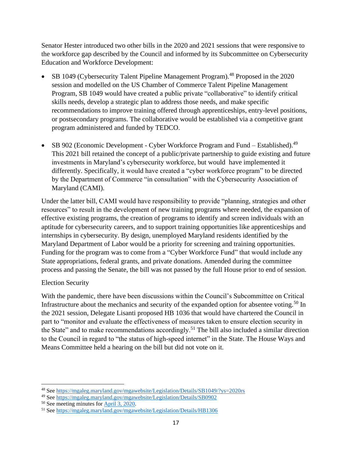Senator Hester introduced two other bills in the 2020 and 2021 sessions that were responsive to the workforce gap described by the Council and informed by its Subcommittee on Cybersecurity Education and Workforce Development:

- SB 1049 (Cybersecurity Talent Pipeline Management Program).<sup>48</sup> Proposed in the 2020 session and modelled on the US Chamber of Commerce Talent Pipeline Management Program, SB 1049 would have created a public private "collaborative" to identify critical skills needs, develop a strategic plan to address those needs, and make specific recommendations to improve training offered through apprenticeships, entry-level positions, or postsecondary programs. The collaborative would be established via a competitive grant program administered and funded by TEDCO.
- SB 902 (Economic Development Cyber Workforce Program and Fund Established).<sup>49</sup> This 2021 bill retained the concept of a public/private partnership to guide existing and future investments in Maryland's cybersecurity workforce, but would have implemented it differently. Specifically, it would have created a "cyber workforce program" to be directed by the Department of Commerce "in consultation" with the Cybersecurity Association of Maryland (CAMI).

Under the latter bill, CAMI would have responsibility to provide "planning, strategies and other resources" to result in the development of new training programs where needed, the expansion of effective existing programs, the creation of programs to identify and screen individuals with an aptitude for cybersecurity careers, and to support training opportunities like apprenticeships and internships in cybersecurity. By design, unemployed Maryland residents identified by the Maryland Department of Labor would be a priority for screening and training opportunities. Funding for the program was to come from a "Cyber Workforce Fund" that would include any State appropriations, federal grants, and private donations. Amended during the committee process and passing the Senate, the bill was not passed by the full House prior to end of session.

#### Election Security

With the pandemic, there have been discussions within the Council's Subcommittee on Critical Infrastructure about the mechanics and security of the expanded option for absentee voting.<sup>50</sup> In the 2021 session, Delegate Lisanti proposed HB 1036 that would have chartered the Council in part to "monitor and evaluate the effectiveness of measures taken to ensure election security in the State" and to make recommendations accordingly.<sup>51</sup> The bill also included a similar direction to the Council in regard to "the status of high-speed internet" in the State. The House Ways and Means Committee held a hearing on the bill but did not vote on it.

<sup>48</sup> See<https://mgaleg.maryland.gov/mgawebsite/Legislation/Details/SB1049/?ys=2020rs>

<sup>49</sup> See<https://mgaleg.maryland.gov/mgawebsite/Legislation/Details/SB0902>

<sup>50</sup> See meeting minutes for [April 3, 2020.](https://www.umgc.edu/content/dam/umgc/documents/upload/meeting-minutes-for-april-3-2020.pdf)

<sup>51</sup> See<https://mgaleg.maryland.gov/mgawebsite/Legislation/Details/HB1306>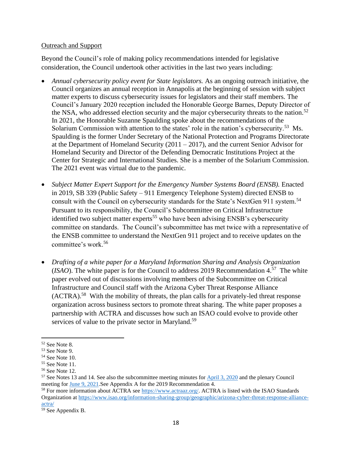#### Outreach and Support

Beyond the Council's role of making policy recommendations intended for legislative consideration, the Council undertook other activities in the last two years including:

- *Annual cybersecurity policy event for State legislators.* As an ongoing outreach initiative, the Council organizes an annual reception in Annapolis at the beginning of session with subject matter experts to discuss cybersecurity issues for legislators and their staff members. The Council's January 2020 reception included the Honorable George Barnes, Deputy Director of the NSA, who addressed election security and the major cybersecurity threats to the nation.<sup>52</sup> In 2021, the Honorable Suzanne Spaulding spoke about the recommendations of the Solarium Commission with attention to the states' role in the nation's cybersecurity.<sup>53</sup> Ms. Spaulding is the former Under Secretary of the National Protection and Programs Directorate at the Department of Homeland Security  $(2011 – 2017)$ , and the current Senior Advisor for Homeland Security and Director of the Defending Democratic Institutions Project at the Center for Strategic and International Studies. She is a member of the Solarium Commission. The 2021 event was virtual due to the pandemic.
- *Subject Matter Expert Support for the Emergency Number Systems Board (ENSB).* Enacted in 2019, SB 339 (Public Safety – 911 Emergency Telephone System) directed ENSB to consult with the Council on cybersecurity standards for the State's NextGen 911 system.<sup>54</sup> Pursuant to its responsibility, the Council's Subcommittee on Critical Infrastructure identified two subject matter experts<sup>55</sup> who have been advising ENSB's cybersecurity committee on standards. The Council's subcommittee has met twice with a representative of the ENSB committee to understand the NextGen 911 project and to receive updates on the committee's work.<sup>56</sup>
- *Drafting of a white paper for a Maryland Information Sharing and Analysis Organization*   $(ISAO)$ . The white paper is for the Council to address 2019 Recommendation  $4.57$  The white paper evolved out of discussions involving members of the Subcommittee on Critical Infrastructure and Council staff with the Arizona Cyber Threat Response Alliance  $(ACTRA).<sup>58</sup>$  With the mobility of threats, the plan calls for a privately-led threat response organization across business sectors to promote threat sharing. The white paper proposes a partnership with ACTRA and discusses how such an ISAO could evolve to provide other services of value to the private sector in Maryland.<sup>59</sup>

<sup>52</sup> See Note 8.

<sup>53</sup> See Note 9.

<sup>54</sup> See Note 10.

<sup>55</sup> See Note 11.

<sup>56</sup> See Note 12.

<sup>57</sup> See Notes 13 and 14. See also the subcommittee meeting minutes for [April 3, 2020](https://www.umgc.edu/content/dam/umgc/documents/upload/meeting-minutes-for-april-3-2020.pdf) and the plenary Council meeting for [June 9, 2021.](https://www.umgc.edu/content/dam/umgc/documents/upload/Meeting-Minutes-for-June-9-2021.pdf)See Appendix A for the 2019 Recommendation 4.

<sup>&</sup>lt;sup>58</sup> For more information about ACTRA see<https://www.actraaz.org/>. ACTRA is listed with the ISAO Standards Organization at [https://www.isao.org/information-sharing-group/geographic/arizona-cyber-threat-response-alliance](https://www.isao.org/information-sharing-group/geographic/arizona-cyber-threat-response-alliance-actra/)[actra/](https://www.isao.org/information-sharing-group/geographic/arizona-cyber-threat-response-alliance-actra/) 

<sup>59</sup> See Appendix B.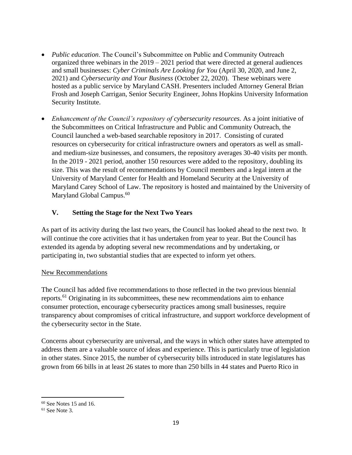- *Public education*. The Council's Subcommittee on Public and Community Outreach organized three webinars in the 2019 – 2021 period that were directed at general audiences and small businesses: *Cyber Criminals Are Looking for You* (April 30, 2020, and June 2, 2021) and *Cybersecurity and Your Business* (October 22, 2020). These webinars were hosted as a public service by Maryland CASH. Presenters included Attorney General Brian Frosh and Joseph Carrigan, Senior Security Engineer, Johns Hopkins University Information Security Institute.
- *Enhancement of the Council's repository of cybersecurity resources.* As a joint initiative of the Subcommittees on Critical Infrastructure and Public and Community Outreach, the Council launched a web-based searchable repository in 2017. Consisting of curated resources on cybersecurity for critical infrastructure owners and operators as well as smalland medium-size businesses, and consumers, the repository averages 30-40 visits per month. In the 2019 - 2021 period, another 150 resources were added to the repository, doubling its size. This was the result of recommendations by Council members and a legal intern at the University of Maryland Center for Health and Homeland Security at the University of Maryland Carey School of Law. The repository is hosted and maintained by the University of Maryland Global Campus.<sup>60</sup>

#### **V. Setting the Stage for the Next Two Years**

As part of its activity during the last two years, the Council has looked ahead to the next two. It will continue the core activities that it has undertaken from year to year. But the Council has extended its agenda by adopting several new recommendations and by undertaking, or participating in, two substantial studies that are expected to inform yet others.

#### New Recommendations

The Council has added five recommendations to those reflected in the two previous biennial reports.<sup>61</sup> Originating in its subcommittees, these new recommendations aim to enhance consumer protection, encourage cybersecurity practices among small businesses, require transparency about compromises of critical infrastructure, and support workforce development of the cybersecurity sector in the State.

Concerns about cybersecurity are universal, and the ways in which other states have attempted to address them are a valuable source of ideas and experience. This is particularly true of legislation in other states. Since 2015, the number of cybersecurity bills introduced in state legislatures has grown from 66 bills in at least 26 states to more than 250 bills in 44 states and Puerto Rico in

 $60$  See Notes 15 and 16.

 $61$  See Note 3.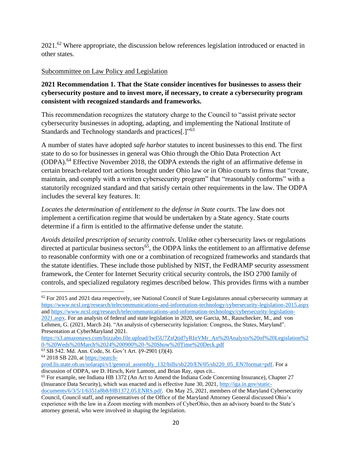2021.<sup>62</sup> Where appropriate, the discussion below references legislation introduced or enacted in other states.

#### Subcommittee on Law Policy and Legislation

#### **2021 Recommendation 1. That the State consider incentives for businesses to assess their cybersecurity posture and to invest more, if necessary, to create a cybersecurity program consistent with recognized standards and frameworks.**

This recommendation recognizes the statutory charge to the Council to "assist private sector cybersecurity businesses in adopting, adapting, and implementing the National Institute of Standards and Technology standards and practices[.]"63

A number of states have adopted *safe harbor* statutes to incent businesses to this end. The first state to do so for businesses in general was Ohio through the Ohio Data Protection Act (ODPA).<sup>64</sup> Effective November 2018, the ODPA extends the right of an affirmative defense in certain breach-related tort actions brought under Ohio law or in Ohio courts to firms that "create, maintain, and comply with a written cybersecurity program" that "reasonably conforms" with a statutorily recognized standard and that satisfy certain other requirements in the law. The ODPA includes the several key features. It:

*Locates the determination of entitlement to the defense in State courts*. The law does not implement a certification regime that would be undertaken by a State agency. State courts determine if a firm is entitled to the affirmative defense under the statute.

*Avoids detailed prescription of security controls*. Unlike other cybersecurity laws or regulations directed at particular business sectors<sup>65</sup>, the ODPA links the entitlement to an affirmative defense to reasonable conformity with one or a combination of recognized frameworks and standards that the statute identifies. These include those published by NIST, the FedRAMP security assessment framework, the Center for Internet Security critical security controls, the ISO 2700 family of controls, and specialized regulatory regimes described below. This provides firms with a number

[2021.aspx.](https://www.ncsl.org/research/telecommunications-and-information-technology/cybersecurity-legislation-2021.aspx) For an analysis of federal and state legislation in 2020, see Garcia, M., Rauschecker, M., and von Lehmen, G. (2021, March 24). "An analysis of cybersecurity legislation: Congress, the States, Maryland". Presentation at CyberMaryland 2021.

<sup>&</sup>lt;sup>62</sup> For 2015 and 2021 data respectively, see National Council of State Legislatures annual cybersecurity summary at <https://www.ncsl.org/research/telecommunications-and-information-technology/cybersecurity-legislation-2015.aspx> and [https://www.ncsl.org/research/telecommunications-and-information-technology/cybersecurity-legislation-](https://www.ncsl.org/research/telecommunications-and-information-technology/cybersecurity-legislation-2021.aspx)

[https://s3.amazonaws.com/bizzabo.file.upload/IwI5U7ZsQtid7yRInVMr\\_An%20Analysis%20of%20Legislation%2](https://s3.amazonaws.com/bizzabo.file.upload/IwI5U7ZsQtid7yRInVMr_An%20Analysis%20of%20Legislation%20-%20Weds%20March%2024%200900%20-%20Show%20Time%20Deck.pdf) [0-%20Weds%20March%2024%200900%20-%20Show%20Time%20Deck.pdf](https://s3.amazonaws.com/bizzabo.file.upload/IwI5U7ZsQtid7yRInVMr_An%20Analysis%20of%20Legislation%20-%20Weds%20March%2024%200900%20-%20Show%20Time%20Deck.pdf) 

<sup>63</sup> SB 542. Md. Ann. Code, St. Gov't Art. §9-2901 (J)(4).

<sup>64</sup> 2018 SB 220, at [https://search-](https://search-prod.lis.state.oh.us/solarapi/v1/general_assembly_132/bills/sb220/EN/05/sb220_05_EN?format=pdf)

[prod.lis.state.oh.us/solarapi/v1/general\\_assembly\\_132/bills/sb220/EN/05/sb220\\_05\\_EN?format=pdf](https://search-prod.lis.state.oh.us/solarapi/v1/general_assembly_132/bills/sb220/EN/05/sb220_05_EN?format=pdf). For a discussion of ODPA, see D. Hirsch, Keir Lamont, and Brian Ray, opus cit..

<sup>65</sup> For example, see Indiana HB 1372 (An Act to Amend the Indiana Code Concerning Insurance), Chapter 27 (Insurance Data Security), which was enacted and is effective June 30, 2021, [http://iga.in.gov/static](http://iga.in.gov/static-documents/6/3/5/1/6351a8b8/HB1372.05.ENRS.pdf)[documents/6/3/5/1/6351a8b8/HB1372.05.ENRS.pdf.](http://iga.in.gov/static-documents/6/3/5/1/6351a8b8/HB1372.05.ENRS.pdf) On May 25, 2021, members of the Maryland Cybersecurity Council, Council staff, and representatives of the Office of the Maryland Attorney General discussed Ohio's

experience with the law in a Zoom meeting with members of CyberOhio, then an advisory board to the State's attorney general, who were involved in shaping the legislation.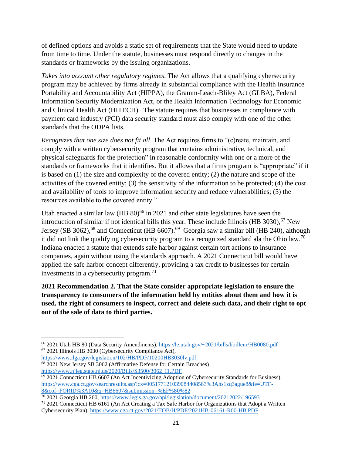of defined options and avoids a static set of requirements that the State would need to update from time to time. Under the statute, businesses must respond directly to changes in the standards or frameworks by the issuing organizations.

*Takes into account other regulatory regimes*. The Act allows that a qualifying cybersecurity program may be achieved by firms already in substantial compliance with the Health Insurance Portability and Accountability Act (HIPPA), the Gramm-Leach-Bliley Act (GLBA), Federal Information Security Modernization Act, or the Health Information Technology for Economic and Clinical Health Act (HITECH). The statute requires that businesses in compliance with payment card industry (PCI) data security standard must also comply with one of the other standards that the ODPA lists.

*Recognizes that one size does not fit all*. The Act requires firms to "(c)reate, maintain, and comply with a written cybersecurity program that contains administrative, technical, and physical safeguards for the protection" in reasonable conformity with one or a more of the standards or frameworks that it identifies. But it allows that a firms program is "appropriate" if it is based on (1) the size and complexity of the covered entity; (2) the nature and scope of the activities of the covered entity; (3) the sensitivity of the information to be protected; (4) the cost and availability of tools to improve information security and reduce vulnerabilities; (5) the resources available to the covered entity."

Utah enacted a similar law  $(HB\ 80)^{66}$  in 2021 and other state legislatures have seen the introduction of similar if not identical bills this year. These include Illinois (HB  $3030$ ),<sup>67</sup> New Jersey (SB 3062),<sup>68</sup> and Connecticut (HB 6607).<sup>69</sup> Georgia saw a similar bill (HB 240), although it did not link the qualifying cybersecurity program to a recognized standard ala the Ohio law.<sup>70</sup> Indiana enacted a statute that extends safe harbor against certain tort actions to insurance companies, again without using the standards approach. A 2021 Connecticut bill would have applied the safe harbor concept differently, providing a tax credit to businesses for certain investments in a cybersecurity program. $^{71}$ 

**2021 Recommendation 2. That the State consider appropriate legislation to ensure the transparency to consumers of the information held by entities about them and how it is used, the right of consumers to inspect, correct and delete such data, and their right to opt out of the sale of data to third parties.** 

<sup>66</sup> 2021 Utah HB 80 (Data Security Amendments)[, https://le.utah.gov/~2021/bills/hbillenr/HB0080.pdf](https://le.utah.gov/~2021/bills/hbillenr/HB0080.pdf)  <sup>67</sup> 2021 Illinois HB 3030 (Cybersecurity Compliance Act),

<https://www.ilga.gov/legislation/102/HB/PDF/10200HB3030lv.pdf> <sup>68</sup> 2021 New Jersey SB 3062 (Affirmative Defense for Certain Breaches)

[https://www.njleg.state.nj.us/2020/Bills/S3500/3062\\_I1.PDF](https://www.njleg.state.nj.us/2020/Bills/S3500/3062_I1.PDF) 

 $69\,2021$  Connecticut HB 6607 (An Act Incentivizing Adoption of Cybersecurity Standards for Business), [https://www.cga.ct.gov/searchresults.asp?cx=005177121039084408563%3Ahs1zq3ague8&ie=UTF-](https://www.cga.ct.gov/searchresults.asp?cx=005177121039084408563%3Ahs1zq3ague8&ie=UTF-8&cof=FORID%3A10&q=HB6607&submission=%EF%80%82)[8&cof=FORID%3A10&q=HB6607&submission=%EF%80%82](https://www.cga.ct.gov/searchresults.asp?cx=005177121039084408563%3Ahs1zq3ague8&ie=UTF-8&cof=FORID%3A10&q=HB6607&submission=%EF%80%82) 

<sup>&</sup>lt;sup>70</sup> 2021 Georgia HB 260, https://www.legis.ga.gov/api/legislation/document/20212022/196593

 $71$  2021 Connecticut HB 6161 (An Act Creating a Tax Safe Harbor for Organizations that Adopt a Written Cybersecurity Plan)[, https://www.cga.ct.gov/2021/TOB/H/PDF/2021HB-06161-R00-HB.PDF](https://www.cga.ct.gov/2021/TOB/H/PDF/2021HB-06161-R00-HB.PDF)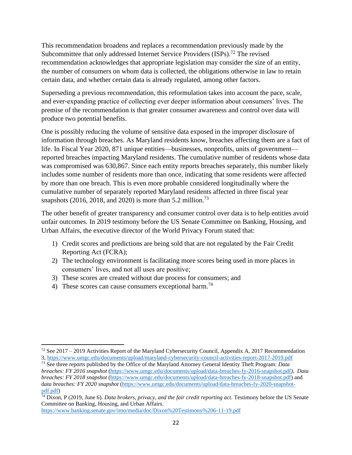This recommendation broadens and replaces a recommendation previously made by the Subcommittee that only addressed Internet Service Providers (ISPs).<sup>72</sup> The revised recommendation acknowledges that appropriate legislation may consider the size of an entity, the number of consumers on whom data is collected, the obligations otherwise in law to retain certain data, and whether certain data is already regulated, among other factors.

Superseding a previous recommendation, this reformulation takes into account the pace, scale, and ever-expanding practice of collecting ever deeper information about consumers' lives. The premise of the recommendation is that greater consumer awareness and control over data will produce two potential benefits.

One is possibly reducing the volume of sensitive data exposed in the improper disclosure of information through breaches. As Maryland residents know, breaches affecting them are a fact of life. In Fiscal Year 2020, 871 unique entities—businesses, nonprofits, units of government reported breaches impacting Maryland residents. The cumulative number of residents whose data was compromised was 630,867. Since each entity reports breaches separately, this number likely includes some number of residents more than once, indicating that some residents were affected by more than one breach. This is even more probable considered longitudinally where the cumulative number of separately reported Maryland residents affected in three fiscal year snapshots (2016, 2018, and 2020) is more than 5.2 million.<sup>73</sup>

The other benefit of greater transparency and consumer control over data is to help entities avoid unfair outcomes. In 2019 testimony before the US Senate Committee on Banking, Housing, and Urban Affairs, the executive director of the World Privacy Forum stated that:

- 1) Credit scores and predictions are being sold that are not regulated by the Fair Credit Reporting Act (FCRA);
- 2) The technology environment is facilitating more scores being used in more places in consumers' lives, and not all uses are positive;
- 3) These scores are created without due process for consumers; and
- 4) These scores can cause consumers exceptional harm.<sup>74</sup>

<https://www.banking.senate.gov/imo/media/doc/Dixon%20Testimony%206-11-19.pdf>

 $72$  See 2017 – 2019 Activities Report of the Maryland Cybersecurity Council, Appendix A, 2017 Recommendation 3,<https://www.umgc.edu/documents/upload/maryland-cybersecurity-council-activities-report-2017-2019.pdf>

<sup>73</sup> See three reports published by the Office of the Maryland Attorney General Identity Theft Program: *Data breaches: FY 2016 snapshot* [\(https://www.umgc.edu/documents/upload/data-breaches-fy-2016-snapshot.pdf](https://www.umgc.edu/documents/upload/data-breaches-fy-2016-snapshot.pdf)*), Data breaches: FY 2018 snapshot* [\(https://www.umgc.edu/documents/upload/data-breaches-fy-2018-snapshot.pdf\)](https://www.umgc.edu/documents/upload/data-breaches-fy-2018-snapshot.pdf) and d*ata breaches: FY 2020 snapshot* [\(https://www.umgc.edu/documents/upload/data-breaches-fy-2020-snapshot](https://www.umgc.edu/documents/upload/data-breaches-fy-2020-snapshot-pdf.pdf)[pdf.pdf\)](https://www.umgc.edu/documents/upload/data-breaches-fy-2020-snapshot-pdf.pdf)

<sup>74</sup> Dixon, P (2019, June 6). *Data brokers, privacy, and the fair credit reporting act*. Testimony before the US Senate Committee on Banking, Housing, and Urban Affairs.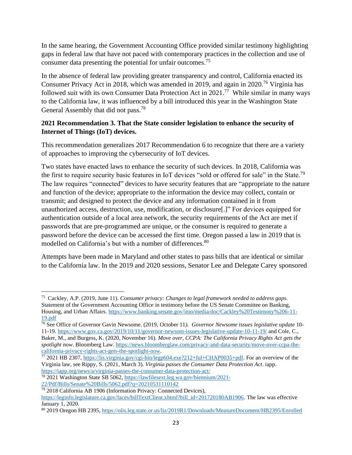In the same hearing, the Government Accounting Office provided similar testimony highlighting gaps in federal law that have not paced with contemporary practices in the collection and use of consumer data presenting the potential for unfair outcomes.<sup>75</sup>

In the absence of federal law providing greater transparency and control, California enacted its Consumer Privacy Act in 2018, which was amended in 2019, and again in 2020.<sup>76</sup> Virginia has followed suit with its own Consumer Data Protection Act in  $2021$ .<sup>77</sup> While similar in many ways to the California law, it was influenced by a bill introduced this year in the Washington State General Assembly that did not pass.<sup>78</sup>

#### **2021 Recommendation 3. That the State consider legislation to enhance the security of Internet of Things (IoT) devices.**

This recommendation generalizes 2017 Recommendation 6 to recognize that there are a variety of approaches to improving the cybersecurity of IoT devices.

Two states have enacted laws to enhance the security of such devices. In 2018, California was the first to require security basic features in IoT devices "sold or offered for sale" in the State.<sup>79</sup> The law requires "connected" devices to have security features that are "appropriate to the nature and function of the device; appropriate to the information the device may collect, contain or transmit; and designed to protect the device and any information contained in it from unauthorized access, destruction, use, modification, or disclosure[.]" For devices equipped for authentication outside of a local area network, the security requirements of the Act are met if passwords that are pre-programmed are unique, or the consumer is required to generate a password before the device can be accessed the first time. Oregon passed a law in 2019 that is modelled on California's but with a number of differences.<sup>80</sup>

Attempts have been made in Maryland and other states to pass bills that are identical or similar to the California law. In the 2019 and 2020 sessions, Senator Lee and Delegate Carey sponsored

<sup>75</sup> Cackley, A.P. (2019, June 11). *Consumer privacy: Changes to legal framework needed to address gaps*. Statement of the Government Accounting Office in testimony before the US Senate Committee on Banking, Housing, and Urban Affairs[. https://www.banking.senate.gov/imo/media/doc/Cackley%20Testimony%206-11-](https://www.banking.senate.gov/imo/media/doc/Cackley%20Testimony%206-11-19.pdf) [19.pdf](https://www.banking.senate.gov/imo/media/doc/Cackley%20Testimony%206-11-19.pdf) 

<sup>76</sup> See Office of Governor Gavin Newsome. (2019, October 11*). Governor Newsome issues legislative update* 10- 11-19.<https://www.gov.ca.gov/2019/10/11/governor-newsom-issues-legislative-update-10-11-19/>and Cole, C., Baker, M., and Burgess, K. (2020, November 16). *Move over, CCPA: The California Privacy Rights Act gets the spotlight now*. Bloomberg Law. [https://news.bloomberglaw.com/privacy-and-data-security/move-over-ccpa-the](https://news.bloomberglaw.com/privacy-and-data-security/move-over-ccpa-the-california-privacy-rights-act-gets-the-spotlight-now)[california-privacy-rights-act-gets-the-spotlight-now](https://news.bloomberglaw.com/privacy-and-data-security/move-over-ccpa-the-california-privacy-rights-act-gets-the-spotlight-now).

<sup>77</sup> 2021 HB 2307, [https://lis.virginia.gov/cgi-bin/legp604.exe?212+ful+CHAP0035+pdf.](https://lis.virginia.gov/cgi-bin/legp604.exe?212+ful+CHAP0035+pdf) For an overview of the Virginia law, see Rippy, S. (2021, March 3). *Virginia passes the Consumer Data Protection Act*. iapp. <https://iapp.org/news/a/virginia-passes-the-consumer-data-protection-act/>

<sup>78</sup> 2021 Washington State SB 5062[, https://lawfilesext.leg.wa.gov/biennium/2021-](https://lawfilesext.leg.wa.gov/biennium/2021-22/Pdf/Bills/Senate%20Bills/5062.pdf?q=20210531110142)

[<sup>22/</sup>Pdf/Bills/Senate%20Bills/5062.pdf?q=20210531110142](https://lawfilesext.leg.wa.gov/biennium/2021-22/Pdf/Bills/Senate%20Bills/5062.pdf?q=20210531110142) 

<sup>79</sup> 2018 California AB 1906 (Information Privacy: Connected Devices),

[https://leginfo.legislature.ca.gov/faces/billTextClient.xhtml?bill\\_id=201720180AB1906.](https://leginfo.legislature.ca.gov/faces/billTextClient.xhtml?bill_id=201720180AB1906) The law was effective January 1, 2020.

<sup>80</sup> 2019 Oregon HB 2395,<https://olis.leg.state.or.us/liz/2019R1/Downloads/MeasureDocument/HB2395/Enrolled>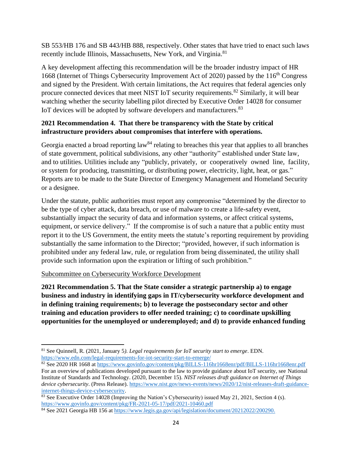SB 553/HB 176 and SB 443/HB 888, respectively. Other states that have tried to enact such laws recently include Illinois, Massachusetts, New York, and Virginia.<sup>81</sup>

A key development affecting this recommendation will be the broader industry impact of HR 1668 (Internet of Things Cybersecurity Improvement Act of 2020) passed by the 116<sup>th</sup> Congress and signed by the President. With certain limitations, the Act requires that federal agencies only procure connected devices that meet NIST IoT security requirements.<sup>82</sup> Similarly, it will bear watching whether the security labelling pilot directed by Executive Order 14028 for consumer IoT devices will be adopted by software developers and manufacturers.<sup>83</sup>

#### **2021 Recommendation 4. That there be transparency with the State by critical infrastructure providers about compromises that interfere with operations.**

Georgia enacted a broad reporting  $law<sup>84</sup>$  relating to breaches this year that applies to all branches of state government, political subdivisions, any other "authority" established under State law, and to utilities. Utilities include any "publicly, privately, or cooperatively owned line, facility, or system for producing, transmitting, or distributing power, electricity, light, heat, or gas." Reports are to be made to the State Director of Emergency Management and Homeland Security or a designee.

Under the statute, public authorities must report any compromise "determined by the director to be the type of cyber attack, data breach, or use of malware to create a life-safety event, substantially impact the security of data and information systems, or affect critical systems, equipment, or service delivery." If the compromise is of such a nature that a public entity must report it to the US Government, the entity meets the statute's reporting requirement by providing substantially the same information to the Director; "provided, however, if such information is prohibited under any federal law, rule, or regulation from being disseminated, the utility shall provide such information upon the expiration or lifting of such prohibition."

#### Subcommittee on Cybersecurity Workforce Development

**2021 Recommendation 5. That the State consider a strategic partnership a) to engage business and industry in identifying gaps in IT/cybersecurity workforce development and in defining training requirements; b) to leverage the postsecondary sector and other training and education providers to offer needed training; c) to coordinate upskilling opportunities for the unemployed or underemployed; and d) to provide enhanced funding** 

<sup>81</sup> See Quinnell, R. (2021, January 5*). Legal requirements for IoT security start to emerge*. EDN. <https://www.edn.com/legal-requirements-for-iot-security-start-to-emerge/>

<sup>82</sup> See 2020 HR 1668 at<https://www.govinfo.gov/content/pkg/BILLS-116hr1668enr/pdf/BILLS-116hr1668enr.pdf> For an overview of publications developed pursuant to the law to provide guidance about IoT security, see National Institute of Standards and Technology. (2020, December 15). *NIST releases draft guidance on Internet of Things device cybersecurity*. (Press Release). [https://www.nist.gov/news-events/news/2020/12/nist-releases-draft-guidance](https://www.nist.gov/news-events/news/2020/12/nist-releases-draft-guidance-internet-things-device-cybersecurity)[internet-things-device-cybersecurity](https://www.nist.gov/news-events/news/2020/12/nist-releases-draft-guidance-internet-things-device-cybersecurity).

<sup>&</sup>lt;sup>83</sup> See Executive Order 14028 (Improving the Nation's Cybersecurity) issued May 21, 2021, Section 4 (s). <https://www.govinfo.gov/content/pkg/FR-2021-05-17/pdf/2021-10460.pdf>

<sup>&</sup>lt;sup>84</sup> See 2021 Georgia HB 156 a[t https://www.legis.ga.gov/api/legislation/document/20212022/200290](https://www.legis.ga.gov/api/legislation/document/20212022/200290).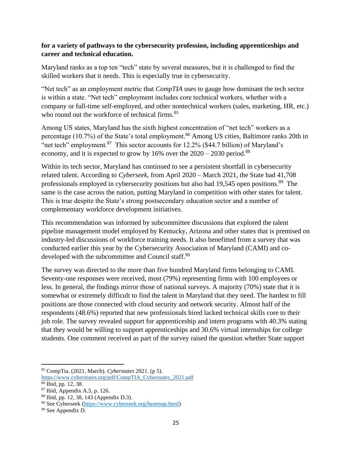#### **for a variety of pathways to the cybersecurity profession, including apprenticeships and career and technical education.**

Maryland ranks as a top ten "tech" state by several measures, but it is challenged to find the skilled workers that it needs. This is especially true in cybersecurity.

"Net tech" as an employment metric that *CompTIA* uses to gauge how dominant the tech sector is within a state. "Net tech" employment includes core technical workers, whether with a company or full-time self-employed, and other nontechnical workers (sales, marketing, HR, etc.) who round out the workforce of technical firms.<sup>85</sup>

Among US states, Maryland has the sixth highest concentration of "net tech" workers as a percentage (10.7%) of the State's total employment.<sup>86</sup> Among US cities, Baltimore ranks 20th in "net tech" employment. $87$  This sector accounts for 12.2% (\$44.7 billion) of Maryland's economy, and it is expected to grow by 16% over the  $2020 - 2030$  period.<sup>88</sup>

Within its tech sector, Maryland has continued to see a persistent shortfall in cybersecurity related talent. According to *Cyberseek*, from April 2020 – March 2021, the State had 41,708 professionals employed in cybersecurity positions but also had 19,545 open positions.<sup>89</sup> The same is the case across the nation, putting Maryland in competition with other states for talent. This is true despite the State's strong postsecondary education sector and a number of complementary workforce development initiatives.

This recommendation was informed by subcommittee discussions that explored the talent pipeline management model employed by Kentucky, Arizona and other states that is premised on industry-led discussions of workforce training needs. It also benefitted from a survey that was conducted earlier this year by the Cybersecurity Association of Maryland (CAMI) and codeveloped with the subcommittee and Council staff.<sup>90</sup>

The survey was directed to the more than five hundred Maryland firms belonging to CAMI. Seventy-one responses were received, most (79%) representing firms with 100 employees or less. In general, the findings mirror those of national surveys. A majority (70%) state that it is somewhat or extremely difficult to find the talent in Maryland that they need. The hardest to fill positions are those connected with cloud security and network security. Almost half of the respondents (48.6%) reported that new professionals hired lacked technical skills core to their job role. The survey revealed support for apprenticeship and intern programs with 40.3% stating that they would be willing to support apprenticeships and 30.6% virtual internships for college students. One comment received as part of the survey raised the question whether State support

<sup>85</sup> CompTia. (2021, March). *Cyberstates* 2021. (p 5).

[https://www.cyberstates.org/pdf/CompTIA\\_Cyberstates\\_2021.pdf](https://www.cyberstates.org/pdf/CompTIA_Cyberstates_2021.pdf) 

<sup>86</sup> Ibid, pp. 12, 38.

 $87$  Ibid, Appendix A.5, p. 126.

<sup>88</sup> Ibid, pp. 12, 38, 143 (Appendix D.3). <sup>89</sup> See Cyberseek [\(https://www.cyberseek.org/heatmap.html](https://www.cyberseek.org/heatmap.html))

<sup>90</sup> See Appendix D.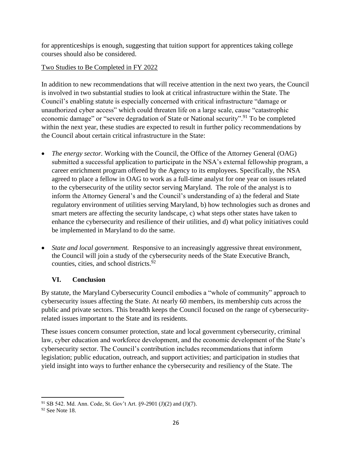for apprenticeships is enough, suggesting that tuition support for apprentices taking college courses should also be considered.

#### Two Studies to Be Completed in FY 2022

In addition to new recommendations that will receive attention in the next two years, the Council is involved in two substantial studies to look at critical infrastructure within the State. The Council's enabling statute is especially concerned with critical infrastructure "damage or unauthorized cyber access" which could threaten life on a large scale, cause "catastrophic economic damage" or "severe degradation of State or National security".<sup>91</sup> To be completed within the next year, these studies are expected to result in further policy recommendations by the Council about certain critical infrastructure in the State:

- *The energy sector.* Working with the Council, the Office of the Attorney General (OAG) submitted a successful application to participate in the NSA's external fellowship program, a career enrichment program offered by the Agency to its employees. Specifically, the NSA agreed to place a fellow in OAG to work as a full-time analyst for one year on issues related to the cybersecurity of the utility sector serving Maryland. The role of the analyst is to inform the Attorney General's and the Council's understanding of a) the federal and State regulatory environment of utilities serving Maryland, b) how technologies such as drones and smart meters are affecting the security landscape, c) what steps other states have taken to enhance the cybersecurity and resilience of their utilities, and d) what policy initiatives could be implemented in Maryland to do the same.
- *State and local government.* Responsive to an increasingly aggressive threat environment, the Council will join a study of the cybersecurity needs of the State Executive Branch, counties, cities, and school districts.<sup>92</sup>

#### **VI. Conclusion**

By statute, the Maryland Cybersecurity Council embodies a "whole of community" approach to cybersecurity issues affecting the State. At nearly 60 members, its membership cuts across the public and private sectors. This breadth keeps the Council focused on the range of cybersecurityrelated issues important to the State and its residents.

These issues concern consumer protection, state and local government cybersecurity, criminal law, cyber education and workforce development, and the economic development of the State's cybersecurity sector. The Council's contribution includes recommendations that inform legislation; public education, outreach, and support activities; and participation in studies that yield insight into ways to further enhance the cybersecurity and resiliency of the State. The

<sup>91</sup> SB 542. Md. Ann. Code, St. Gov't Art. §9-2901 (J)(2) and (J)(7).

 $92$  See Note 18.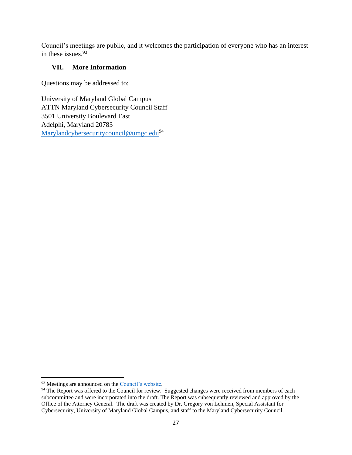Council's meetings are public, and it welcomes the participation of everyone who has an interest in these issues.<sup>93</sup>

#### **VII. More Information**

Questions may be addressed to:

University of Maryland Global Campus ATTN Maryland Cybersecurity Council Staff 3501 University Boulevard East Adelphi, Maryland 20783 [Marylandcybersecuritycouncil@umgc.edu](mailto:Marylandcybersecuritycouncil@umgc.edu)<sup>94</sup>

<sup>93</sup> Meetings are announced on the [Council's website.](https://www.umgc.edu/administration/leadership-and-governance/boards-and-committees/maryland-cybersecurity-council)

 $94$  The Report was offered to the Council for review. Suggested changes were received from members of each subcommittee and were incorporated into the draft. The Report was subsequently reviewed and approved by the Office of the Attorney General. The draft was created by Dr. Gregory von Lehmen, Special Assistant for Cybersecurity, University of Maryland Global Campus, and staff to the Maryland Cybersecurity Council.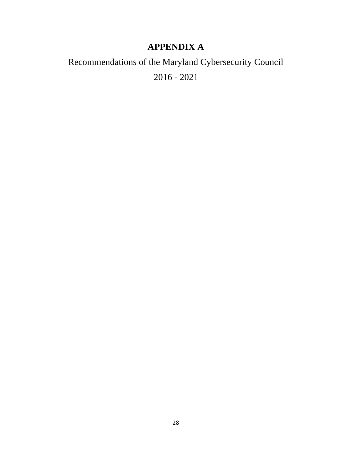# **APPENDIX A**

# Recommendations of the Maryland Cybersecurity Council 2016 - 2021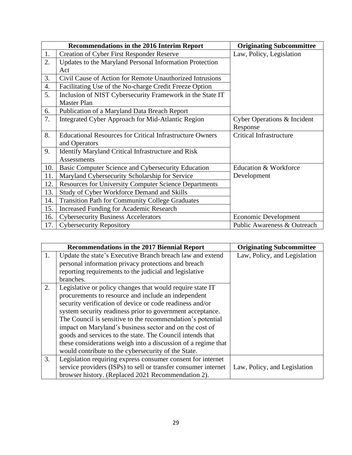|                  | <b>Recommendations in the 2016 Interim Report</b>               | <b>Originating Subcommittee</b> |
|------------------|-----------------------------------------------------------------|---------------------------------|
| 1.               | <b>Creation of Cyber First Responder Reserve</b>                | Law, Policy, Legislation        |
| 2.               | Updates to the Maryland Personal Information Protection         |                                 |
|                  | Act                                                             |                                 |
| 3.               | Civil Cause of Action for Remote Unauthorized Intrusions        |                                 |
| $\overline{4}$ . | Facilitating Use of the No-charge Credit Freeze Option          |                                 |
| 5.               | Inclusion of NIST Cybersecurity Framework in the State IT       |                                 |
|                  | <b>Master Plan</b>                                              |                                 |
| 6.               | Publication of a Maryland Data Breach Report                    |                                 |
| 7.               | Integrated Cyber Approach for Mid-Atlantic Region               | Cyber Operations & Incident     |
|                  |                                                                 | Response                        |
| 8.               | <b>Educational Resources for Critical Infrastructure Owners</b> | <b>Critical Infrastructure</b>  |
|                  | and Operators                                                   |                                 |
| 9.               | <b>Identify Maryland Critical Infrastructure and Risk</b>       |                                 |
|                  | <b>Assessments</b>                                              |                                 |
| 10.              | Basic Computer Science and Cybersecurity Education              | Education & Workforce           |
| 11.              | Maryland Cybersecurity Scholarship for Service                  | Development                     |
| 12.              | <b>Resources for University Computer Science Departments</b>    |                                 |
| 13.              | Study of Cyber Workforce Demand and Skills                      |                                 |
| 14.              | <b>Transition Path for Community College Graduates</b>          |                                 |
| 15.              | <b>Increased Funding for Academic Research</b>                  |                                 |
| 16.              | <b>Cybersecurity Business Accelerators</b>                      | <b>Economic Development</b>     |
| 17.              | <b>Cybersecurity Repository</b>                                 | Public Awareness & Outreach     |

|    | <b>Recommendations in the 2017 Biennial Report</b>             | <b>Originating Subcommittee</b> |
|----|----------------------------------------------------------------|---------------------------------|
| 1. | Update the state's Executive Branch breach law and extend      | Law, Policy, and Legislation    |
|    | personal information privacy protections and breach            |                                 |
|    | reporting requirements to the judicial and legislative         |                                 |
|    | branches.                                                      |                                 |
| 2. | Legislative or policy changes that would require state IT      |                                 |
|    | procurements to resource and include an independent            |                                 |
|    | security verification of device or code readiness and/or       |                                 |
|    | system security readiness prior to government acceptance.      |                                 |
|    | The Council is sensitive to the recommendation's potential     |                                 |
|    | impact on Maryland's business sector and on the cost of        |                                 |
|    | goods and services to the state. The Council intends that      |                                 |
|    | these considerations weigh into a discussion of a regime that  |                                 |
|    | would contribute to the cybersecurity of the State.            |                                 |
| 3. | Legislation requiring express consumer consent for internet    |                                 |
|    | service providers (ISPs) to sell or transfer consumer internet | Law, Policy, and Legislation    |
|    | browser history. (Replaced 2021 Recommendation 2).             |                                 |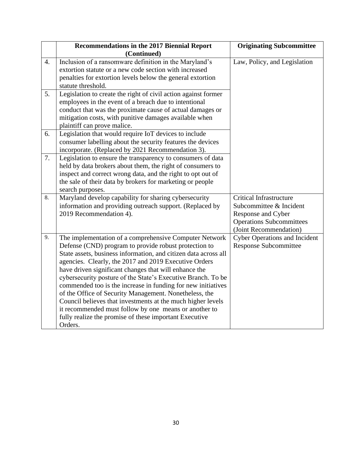|                  | Recommendations in the 2017 Biennial Report<br>(Continued)                                                                                                                                                                                                                                                                                                                                                                                                                                                                                                                                                                                                                                  | <b>Originating Subcommittee</b>                                                                                                              |
|------------------|---------------------------------------------------------------------------------------------------------------------------------------------------------------------------------------------------------------------------------------------------------------------------------------------------------------------------------------------------------------------------------------------------------------------------------------------------------------------------------------------------------------------------------------------------------------------------------------------------------------------------------------------------------------------------------------------|----------------------------------------------------------------------------------------------------------------------------------------------|
| $\overline{4}$ . | Inclusion of a ransomware definition in the Maryland's<br>extortion statute or a new code section with increased<br>penalties for extortion levels below the general extortion<br>statute threshold.                                                                                                                                                                                                                                                                                                                                                                                                                                                                                        | Law, Policy, and Legislation                                                                                                                 |
| 5.               | Legislation to create the right of civil action against former<br>employees in the event of a breach due to intentional<br>conduct that was the proximate cause of actual damages or<br>mitigation costs, with punitive damages available when<br>plaintiff can prove malice.                                                                                                                                                                                                                                                                                                                                                                                                               |                                                                                                                                              |
| 6.               | Legislation that would require IoT devices to include<br>consumer labelling about the security features the devices<br>incorporate. (Replaced by 2021 Recommendation 3).                                                                                                                                                                                                                                                                                                                                                                                                                                                                                                                    |                                                                                                                                              |
| 7.               | Legislation to ensure the transparency to consumers of data<br>held by data brokers about them, the right of consumers to<br>inspect and correct wrong data, and the right to opt out of<br>the sale of their data by brokers for marketing or people<br>search purposes.                                                                                                                                                                                                                                                                                                                                                                                                                   |                                                                                                                                              |
| 8.               | Maryland develop capability for sharing cybersecurity<br>information and providing outreach support. (Replaced by<br>2019 Recommendation 4).                                                                                                                                                                                                                                                                                                                                                                                                                                                                                                                                                | <b>Critical Infrastructure</b><br>Subcommittee & Incident<br>Response and Cyber<br><b>Operations Subcommittees</b><br>(Joint Recommendation) |
| 9.               | The implementation of a comprehensive Computer Network<br>Defense (CND) program to provide robust protection to<br>State assets, business information, and citizen data across all<br>agencies. Clearly, the 2017 and 2019 Executive Orders<br>have driven significant changes that will enhance the<br>cybersecurity posture of the State's Executive Branch. To be<br>commended too is the increase in funding for new initiatives<br>of the Office of Security Management. Nonetheless, the<br>Council believes that investments at the much higher levels<br>it recommended must follow by one means or another to<br>fully realize the promise of these important Executive<br>Orders. | <b>Cyber Operations and Incident</b><br><b>Response Subcommittee</b>                                                                         |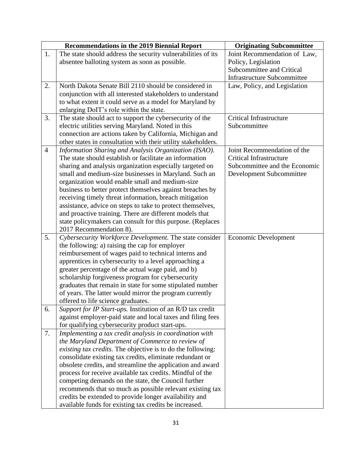|                | <b>Recommendations in the 2019 Biennial Report</b>            | <b>Originating Subcommittee</b>    |
|----------------|---------------------------------------------------------------|------------------------------------|
| 1.             | The state should address the security vulnerabilities of its  | Joint Recommendation of Law,       |
|                | absentee balloting system as soon as possible.                | Policy, Legislation                |
|                |                                                               | Subcommittee and Critical          |
|                |                                                               | <b>Infrastructure Subcommittee</b> |
| 2.             | North Dakota Senate Bill 2110 should be considered in         | Law, Policy, and Legislation       |
|                | conjunction with all interested stakeholders to understand    |                                    |
|                | to what extent it could serve as a model for Maryland by      |                                    |
|                | enlarging DoIT's role within the state.                       |                                    |
| 3.             | The state should act to support the cybersecurity of the      | Critical Infrastructure            |
|                | electric utilities serving Maryland. Noted in this            | Subcommittee                       |
|                | connection are actions taken by California, Michigan and      |                                    |
|                | other states in consultation with their utility stakeholders. |                                    |
| $\overline{4}$ | Information Sharing and Analysis Organization (ISAO).         | Joint Recommendation of the        |
|                | The state should establish or facilitate an information       | <b>Critical Infrastructure</b>     |
|                | sharing and analysis organization especially targeted on      | Subcommittee and the Economic      |
|                | small and medium-size businesses in Maryland. Such an         | Development Subcommittee           |
|                | organization would enable small and medium-size               |                                    |
|                | business to better protect themselves against breaches by     |                                    |
|                | receiving timely threat information, breach mitigation        |                                    |
|                | assistance, advice on steps to take to protect themselves,    |                                    |
|                | and proactive training. There are different models that       |                                    |
|                | state policymakers can consult for this purpose. (Replaces    |                                    |
|                | 2017 Recommendation 8).                                       |                                    |
| 5.             | Cybersecurity Workforce Development. The state consider       | Economic Development               |
|                | the following: a) raising the cap for employer                |                                    |
|                | reimbursement of wages paid to technical interns and          |                                    |
|                | apprentices in cybersecurity to a level approaching a         |                                    |
|                | greater percentage of the actual wage paid, and b)            |                                    |
|                | scholarship forgiveness program for cybersecurity             |                                    |
|                | graduates that remain in state for some stipulated number     |                                    |
|                | of years. The latter would mirror the program currently       |                                    |
|                | offered to life science graduates.                            |                                    |
| 6.             | Support for IP Start-ups. Institution of an R/D tax credit    |                                    |
|                | against employer-paid state and local taxes and filing fees   |                                    |
|                | for qualifying cybersecurity product start-ups.               |                                    |
| 7.             | Implementing a tax credit analysis in coordination with       |                                    |
|                | the Maryland Department of Commerce to review of              |                                    |
|                | existing tax credits. The objective is to do the following:   |                                    |
|                | consolidate existing tax credits, eliminate redundant or      |                                    |
|                | obsolete credits, and streamline the application and award    |                                    |
|                | process for receive available tax credits. Mindful of the     |                                    |
|                | competing demands on the state, the Council further           |                                    |
|                | recommends that so much as possible relevant existing tax     |                                    |
|                | credits be extended to provide longer availability and        |                                    |
|                | available funds for existing tax credits be increased.        |                                    |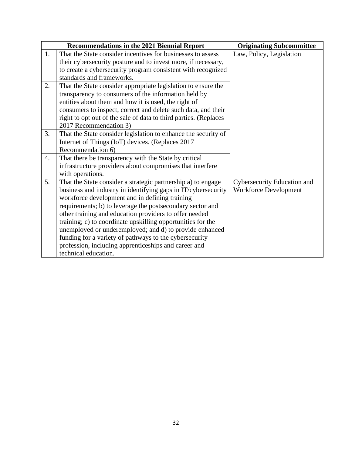|    | Recommendations in the 2021 Biennial Report                      | <b>Originating Subcommittee</b> |
|----|------------------------------------------------------------------|---------------------------------|
| 1. | That the State consider incentives for businesses to assess      | Law, Policy, Legislation        |
|    | their cybersecurity posture and to invest more, if necessary,    |                                 |
|    | to create a cybersecurity program consistent with recognized     |                                 |
|    | standards and frameworks.                                        |                                 |
| 2. | That the State consider appropriate legislation to ensure the    |                                 |
|    | transparency to consumers of the information held by             |                                 |
|    | entities about them and how it is used, the right of             |                                 |
|    | consumers to inspect, correct and delete such data, and their    |                                 |
|    | right to opt out of the sale of data to third parties. (Replaces |                                 |
|    | 2017 Recommendation 3)                                           |                                 |
| 3. | That the State consider legislation to enhance the security of   |                                 |
|    | Internet of Things (IoT) devices. (Replaces 2017                 |                                 |
|    | Recommendation 6)                                                |                                 |
| 4. | That there be transparency with the State by critical            |                                 |
|    | infrastructure providers about compromises that interfere        |                                 |
|    | with operations.                                                 |                                 |
| 5. | That the State consider a strategic partnership a) to engage     | Cybersecurity Education and     |
|    | business and industry in identifying gaps in IT/cybersecurity    | <b>Workforce Development</b>    |
|    | workforce development and in defining training                   |                                 |
|    | requirements; b) to leverage the postsecondary sector and        |                                 |
|    | other training and education providers to offer needed           |                                 |
|    | training; c) to coordinate upskilling opportunities for the      |                                 |
|    | unemployed or underemployed; and d) to provide enhanced          |                                 |
|    | funding for a variety of pathways to the cybersecurity           |                                 |
|    | profession, including apprenticeships and career and             |                                 |
|    | technical education.                                             |                                 |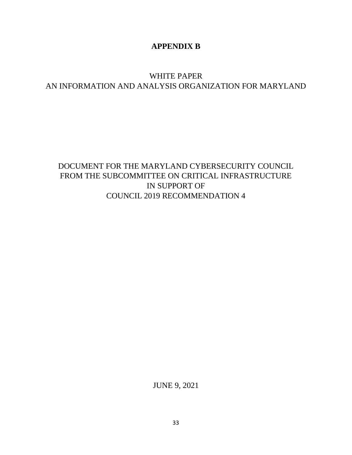#### **APPENDIX B**

### WHITE PAPER AN INFORMATION AND ANALYSIS ORGANIZATION FOR MARYLAND

## DOCUMENT FOR THE MARYLAND CYBERSECURITY COUNCIL FROM THE SUBCOMMITTEE ON CRITICAL INFRASTRUCTURE IN SUPPORT OF COUNCIL 2019 RECOMMENDATION 4

JUNE 9, 2021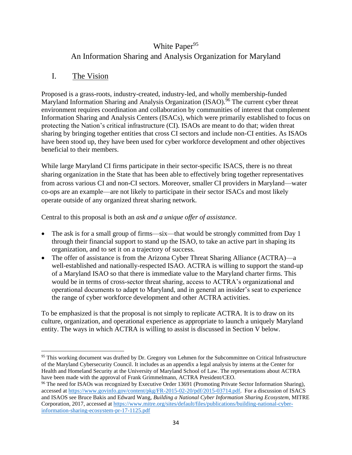# White Paper<sup>95</sup>

#### An Information Sharing and Analysis Organization for Maryland

#### I. The Vision

Proposed is a grass-roots, industry-created, industry-led, and wholly membership-funded Maryland Information Sharing and Analysis Organization (ISAO).<sup>96</sup> The current cyber threat environment requires coordination and collaboration by communities of interest that complement Information Sharing and Analysis Centers (ISACs), which were primarily established to focus on protecting the Nation's critical infrastructure (CI). ISAOs are meant to do that; widen threat sharing by bringing together entities that cross CI sectors and include non-CI entities. As ISAOs have been stood up, they have been used for cyber workforce development and other objectives beneficial to their members.

While large Maryland CI firms participate in their sector-specific ISACS, there is no threat sharing organization in the State that has been able to effectively bring together representatives from across various CI and non-CI sectors. Moreover, smaller CI providers in Maryland—water co-ops are an example—are not likely to participate in their sector ISACs and most likely operate outside of any organized threat sharing network.

Central to this proposal is both an *ask and a unique offer of assistance*.

- The ask is for a small group of firms—six—that would be strongly committed from Day 1 through their financial support to stand up the ISAO, to take an active part in shaping its organization, and to set it on a trajectory of success.
- The offer of assistance is from the Arizona Cyber Threat Sharing Alliance (ACTRA)—a well-established and nationally-respected ISAO. ACTRA is willing to support the stand-up of a Maryland ISAO so that there is immediate value to the Maryland charter firms. This would be in terms of cross-sector threat sharing, access to ACTRA's organizational and operational documents to adapt to Maryland, and in general an insider's seat to experience the range of cyber workforce development and other ACTRA activities.

To be emphasized is that the proposal is not simply to replicate ACTRA. It is to draw on its culture, organization, and operational experience as appropriate to launch a uniquely Maryland entity. The ways in which ACTRA is willing to assist is discussed in Section V below.

<sup>&</sup>lt;sup>95</sup> This working document was drafted by Dr. Gregory von Lehmen for the Subcommittee on Critical Infrastructure of the Maryland Cybersecurity Council. It includes as an appendix a legal analysis by interns at the Center for Health and Homeland Security at the University of Maryland School of Law. The representations about ACTRA have been made with the approval of Frank Grimmelmann, ACTRA President/CEO.

<sup>96</sup> The need for ISAOs was recognized by Executive Order 13691 (Promoting Private Sector Information Sharing), accessed at<https://www.govinfo.gov/content/pkg/FR-2015-02-20/pdf/2015-03714.pdf>. For a discussion of ISACS and ISAOS see Bruce Bakis and Edward Wang, *Building a National Cyber Information Sharing Ecosystem*, MITRE Corporation, 2017, accessed at [https://www.mitre.org/sites/default/files/publications/building-national-cyber](https://www.mitre.org/sites/default/files/publications/building-national-cyber-information-sharing-ecosystem-pr-17-1125.pdf)[information-sharing-ecosystem-pr-17-1125.pdf](https://www.mitre.org/sites/default/files/publications/building-national-cyber-information-sharing-ecosystem-pr-17-1125.pdf)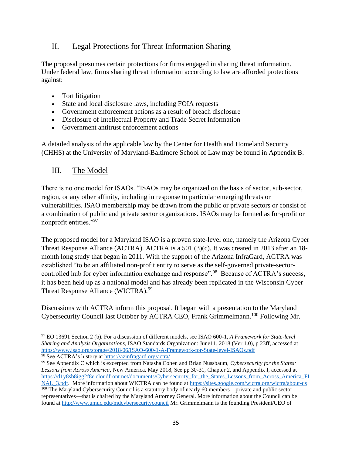#### II. Legal Protections for Threat Information Sharing

The proposal presumes certain protections for firms engaged in sharing threat information. Under federal law, firms sharing threat information according to law are afforded protections against:

- Tort litigation
- State and local disclosure laws, including FOIA requests
- Government enforcement actions as a result of breach disclosure
- Disclosure of Intellectual Property and Trade Secret Information
- Government antitrust enforcement actions

A detailed analysis of the applicable law by the Center for Health and Homeland Security (CHHS) at the University of Maryland-Baltimore School of Law may be found in Appendix B.

#### III. The Model

There is no one model for ISAOs. "ISAOs may be organized on the basis of sector, sub-sector, region, or any other affinity, including in response to particular emerging threats or vulnerabilities. ISAO membership may be drawn from the public or private sectors or consist of a combination of public and private sector organizations. ISAOs may be formed as for-profit or nonprofit entities."<sup>97</sup>

The proposed model for a Maryland ISAO is a proven state-level one, namely the Arizona Cyber Threat Response Alliance (ACTRA). ACTRA is a 501 (3)(c). It was created in 2013 after an 18 month long study that began in 2011. With the support of the Arizona InfraGard, ACTRA was established "to be an affiliated non-profit entity to serve as the self-governed private-sectorcontrolled hub for cyber information exchange and response".<sup>98</sup> Because of ACTRA's success, it has been held up as a national model and has already been replicated in the Wisconsin Cyber Threat Response Alliance (WICTRA).<sup>99</sup>

Discussions with ACTRA inform this proposal. It began with a presentation to the Maryland Cybersecurity Council last October by ACTRA CEO, Frank Grimmelmann.<sup>100</sup> Following Mr.

<sup>97</sup> EO 13691 Section 2 (b). For a discussion of different models, see ISAO 600-1, *A Framework for State-level Sharing and Analysis Organizations*, ISAO Standards Organization: June11, 2018 (Ver 1.0), p 23ff, accessed at <https://www.isao.org/storage/2018/06/ISAO-600-1-A-Framework-for-State-level-ISAOs.pdf> <sup>98</sup> See ACTRA's history at<https://azinfragard.org/actra/>

<sup>99</sup> See Appendix C which is excerpted from Natasha Cohen and Brian Nussbaum, *Cybersecurity for the States: Lessons from Across America*, New America, May 2018, See pp 30-31, Chapter 2, and Appendix I, accessed at [https://d1y8sb8igg2f8e.cloudfront.net/documents/Cybersecurity\\_for\\_the\\_States\\_Lessons\\_from\\_Across\\_America\\_FI](https://d1y8sb8igg2f8e.cloudfront.net/documents/Cybersecurity_for_the_States_Lessons_from_Across_America_FINAL_3.pdf) [NAL\\_3.pdf.](https://d1y8sb8igg2f8e.cloudfront.net/documents/Cybersecurity_for_the_States_Lessons_from_Across_America_FINAL_3.pdf) More information about WICTRA can be found at https://sites.google.com/wictra.org/wictra/about-us <sup>100</sup> The Maryland Cybersecurity Council is a statutory body of nearly 60 members—private and public sector representatives—that is chaired by the Maryland Attorney General. More information about the Council can be found a[t http://www.umuc.edu/mdcybersecuritycouncil](http://www.umuc.edu/mdcybersecuritycouncil) Mr. Grimmelmann is the founding President/CEO of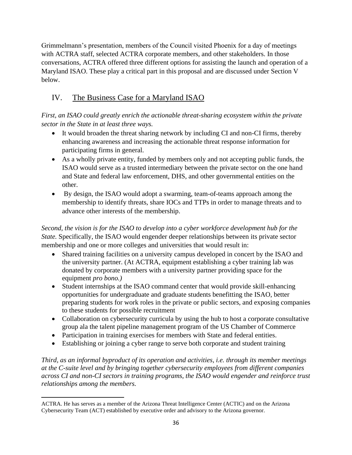Grimmelmann's presentation, members of the Council visited Phoenix for a day of meetings with ACTRA staff, selected ACTRA corporate members, and other stakeholders. In those conversations, ACTRA offered three different options for assisting the launch and operation of a Maryland ISAO. These play a critical part in this proposal and are discussed under Section V below.

### IV. The Business Case for a Maryland ISAO

*First, an ISAO could greatly enrich the actionable threat-sharing ecosystem within the private sector in the State in at least three ways.* 

- It would broaden the threat sharing network by including CI and non-CI firms, thereby enhancing awareness and increasing the actionable threat response information for participating firms in general.
- As a wholly private entity, funded by members only and not accepting public funds, the ISAO would serve as a trusted intermediary between the private sector on the one hand and State and federal law enforcement, DHS, and other governmental entities on the other.
- By design, the ISAO would adopt a swarming, team-of-teams approach among the membership to identify threats, share IOCs and TTPs in order to manage threats and to advance other interests of the membership.

*Second, the vision is for the ISAO to develop into a cyber workforce development hub for the State.* Specifically, the ISAO would engender deeper relationships between its private sector membership and one or more colleges and universities that would result in:

- Shared training facilities on a university campus developed in concert by the ISAO and the university partner. (At ACTRA, equipment establishing a cyber training lab was donated by corporate members with a university partner providing space for the equipment *pro bono.)*
- Student internships at the ISAO command center that would provide skill-enhancing opportunities for undergraduate and graduate students benefitting the ISAO, better preparing students for work roles in the private or public sectors, and exposing companies to these students for possible recruitment
- Collaboration on cybersecurity curricula by using the hub to host a corporate consultative group ala the talent pipeline management program of the US Chamber of Commerce
- Participation in training exercises for members with State and federal entities.
- Establishing or joining a cyber range to serve both corporate and student training

*Third, as an informal byproduct of its operation and activities, i.e. through its member meetings at the C-suite level and by bringing together cybersecurity employees from different companies across CI and non-CI sectors in training programs, the ISAO would engender and reinforce trust relationships among the members.* 

ACTRA. He has serves as a member of the Arizona Threat Intelligence Center (ACTIC) and on the Arizona Cybersecurity Team (ACT) established by executive order and advisory to the Arizona governor.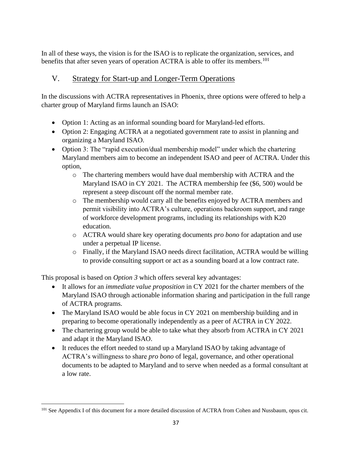In all of these ways, the vision is for the ISAO is to replicate the organization, services, and benefits that after seven years of operation ACTRA is able to offer its members.<sup>101</sup>

### V. Strategy for Start-up and Longer-Term Operations

In the discussions with ACTRA representatives in Phoenix, three options were offered to help a charter group of Maryland firms launch an ISAO:

- Option 1: Acting as an informal sounding board for Maryland-led efforts.
- Option 2: Engaging ACTRA at a negotiated government rate to assist in planning and organizing a Maryland ISAO.
- Option 3: The "rapid execution/dual membership model" under which the chartering Maryland members aim to become an independent ISAO and peer of ACTRA. Under this option,
	- o The chartering members would have dual membership with ACTRA and the Maryland ISAO in CY 2021. The ACTRA membership fee (\$6, 500) would be represent a steep discount off the normal member rate.
	- o The membership would carry all the benefits enjoyed by ACTRA members and permit visibility into ACTRA's culture, operations backroom support, and range of workforce development programs, including its relationships with K20 education.
	- o ACTRA would share key operating documents *pro bono* for adaptation and use under a perpetual IP license.
	- o Finally, if the Maryland ISAO needs direct facilitation, ACTRA would be willing to provide consulting support or act as a sounding board at a low contract rate.

This proposal is based on *Option 3* which offers several key advantages:

- It allows for an *immediate value proposition* in CY 2021 for the charter members of the Maryland ISAO through actionable information sharing and participation in the full range of ACTRA programs.
- The Maryland ISAO would be able focus in CY 2021 on membership building and in preparing to become operationally independently as a peer of ACTRA in CY 2022.
- The chartering group would be able to take what they absorb from ACTRA in CY 2021 and adapt it the Maryland ISAO.
- It reduces the effort needed to stand up a Maryland ISAO by taking advantage of ACTRA's willingness to share *pro bono* of legal, governance, and other operational documents to be adapted to Maryland and to serve when needed as a formal consultant at a low rate.

<sup>&</sup>lt;sup>101</sup> See Appendix I of this document for a more detailed discussion of ACTRA from Cohen and Nussbaum, opus cit.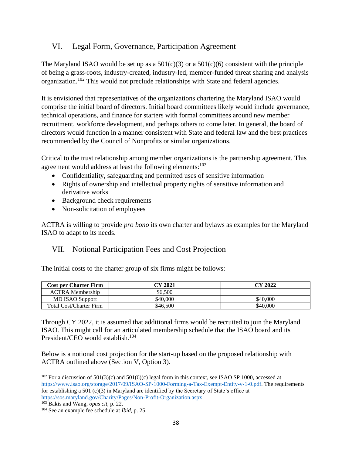#### VI. Legal Form, Governance, Participation Agreement

The Maryland ISAO would be set up as a  $501(c)(3)$  or a  $501(c)(6)$  consistent with the principle of being a grass-roots, industry-created, industry-led, member-funded threat sharing and analysis organization.<sup>102</sup> This would not preclude relationships with State and federal agencies.

It is envisioned that representatives of the organizations chartering the Maryland ISAO would comprise the initial board of directors. Initial board committees likely would include governance, technical operations, and finance for starters with formal committees around new member recruitment, workforce development, and perhaps others to come later. In general, the board of directors would function in a manner consistent with State and federal law and the best practices recommended by the Council of Nonprofits or similar organizations.

Critical to the trust relationship among member organizations is the partnership agreement. This agreement would address at least the following elements: $103$ 

- Confidentiality, safeguarding and permitted uses of sensitive information
- Rights of ownership and intellectual property rights of sensitive information and derivative works
- Background check requirements
- Non-solicitation of employees

ACTRA is willing to provide *pro bono* its own charter and bylaws as examples for the Maryland ISAO to adapt to its needs.

#### VII. Notional Participation Fees and Cost Projection

The initial costs to the charter group of six firms might be follows:

| <b>Cost per Charter Firm</b>   | CY 2021  | CY 2022  |
|--------------------------------|----------|----------|
| <b>ACTRA</b> Membership        | \$6.500  |          |
| MD ISAO Support                | \$40,000 | \$40,000 |
| <b>Total Cost/Charter Firm</b> | \$46,500 | \$40.000 |

Through CY 2022, it is assumed that additional firms would be recruited to join the Maryland ISAO. This might call for an articulated membership schedule that the ISAO board and its President/CEO would establish.<sup>104</sup>

Below is a notional cost projection for the start-up based on the proposed relationship with ACTRA outlined above (Section V, Option 3).

<sup>103</sup> Bakis and Wang, *opus cit*, p. 22.

 $102$  For a discussion of 501(3)(c) and 501(6)(c) legal form in this context, see ISAO SP 1000, accessed at [https://www.isao.org/storage/2017/09/ISAO-SP-1000-Forming-a-Tax-Exempt-Entity-v-1-0.pdf.](https://www.isao.org/storage/2017/09/ISAO-SP-1000-Forming-a-Tax-Exempt-Entity-v-1-0.pdf) The requirements for establishing a 501 (c)(3) in Maryland are identified by the Secretary of State's office at <https://sos.maryland.gov/Charity/Pages/Non-Profit-Organization.aspx>

<sup>104</sup> See an example fee schedule at *Ibid*, p. 25.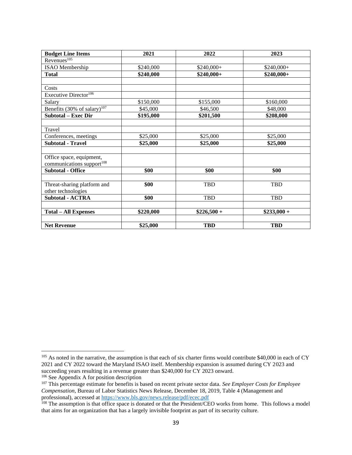| <b>Budget Line Items</b>                | 2021      | 2022         | 2023         |
|-----------------------------------------|-----------|--------------|--------------|
| Revenues <sup>105</sup>                 |           |              |              |
| <b>ISAO</b> Membership                  | \$240,000 | $$240,000+$  | \$240,000+   |
| <b>Total</b>                            | \$240,000 | $$240,000+$  | $$240,000+$  |
|                                         |           |              |              |
| Costs                                   |           |              |              |
| Executive Director <sup>106</sup>       |           |              |              |
| Salary                                  | \$150,000 | \$155,000    | \$160,000    |
| Benefits (30% of salary) <sup>107</sup> | \$45,000  | \$46,500     | \$48,000     |
| <b>Subtotal – Exec Dir</b>              | \$195,000 | \$201,500    | \$208,000    |
|                                         |           |              |              |
| Travel                                  |           |              |              |
| Conferences, meetings                   | \$25,000  | \$25,000     | \$25,000     |
| <b>Subtotal - Travel</b>                | \$25,000  | \$25,000     | \$25,000     |
|                                         |           |              |              |
| Office space, equipment,                |           |              |              |
| communications support <sup>108</sup>   |           |              |              |
| <b>Subtotal - Office</b>                | \$00      | \$00         | \$00         |
|                                         |           |              |              |
| Threat-sharing platform and             | \$00      | <b>TBD</b>   | <b>TBD</b>   |
| other technologies                      |           |              |              |
| <b>Subtotal - ACTRA</b>                 | \$00      | TBD          | <b>TBD</b>   |
|                                         |           |              |              |
| <b>Total – All Expenses</b>             | \$220,000 | $$226,500 +$ | $$233,000 +$ |
|                                         |           |              |              |
| <b>Net Revenue</b>                      | \$25,000  | <b>TBD</b>   | <b>TBD</b>   |

<sup>&</sup>lt;sup>105</sup> As noted in the narrative, the assumption is that each of six charter firms would contribute \$40,000 in each of CY 2021 and CY 2022 toward the Maryland ISAO itself. Membership expansion is assumed during CY 2023 and succeeding years resulting in a revenue greater than \$240,000 for CY 2023 onward. <sup>106</sup> See Appendix A for position description

<sup>&</sup>lt;sup>107</sup> This percentage estimate for benefits is based on recent private sector data. *See Employer Costs for Employee Compensation*, Bureau of Labor Statistics News Release, December 18, 2019, Table 4 (Management and professional), accessed at https://www.bls.gov/news.release/pdf/ecec.pdf

<sup>&</sup>lt;sup>108</sup> The assumption is that office space is donated or that the President/CEO works from home. This follows a model that aims for an organization that has a largely invisible footprint as part of its security culture.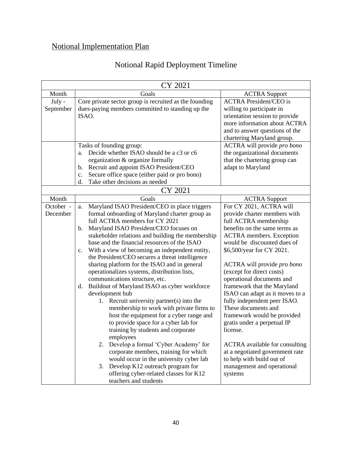# Notional Implementation Plan

# Notional Rapid Deployment Timeline

| CY 2021   |                                                                  |                                       |  |
|-----------|------------------------------------------------------------------|---------------------------------------|--|
| Month     | Goals                                                            | <b>ACTRA</b> Support                  |  |
| July -    | Core private sector group is recruited as the founding           | <b>ACTRA President/CEO is</b>         |  |
| September | dues-paying members committed to standing up the                 | willing to participate in             |  |
|           | ISAO.                                                            | orientation session to provide        |  |
|           |                                                                  | more information about ACTRA          |  |
|           |                                                                  | and to answer questions of the        |  |
|           |                                                                  | chartering Maryland group.            |  |
|           | Tasks of founding group:                                         | ACTRA will provide pro bono           |  |
|           | Decide whether ISAO should be a c3 or c6<br>a.                   | the organizational documents          |  |
|           | organization & organize formally                                 | that the chartering group can         |  |
|           | Recruit and appoint ISAO President/CEO<br>b.                     | adapt to Maryland                     |  |
|           | Secure office space (either paid or pro bono)<br>c.              |                                       |  |
|           | Take other decisions as needed<br>d.                             |                                       |  |
|           | CY 2021                                                          |                                       |  |
| Month     | Goals                                                            | <b>ACTRA Support</b>                  |  |
| October - | Maryland ISAO President/CEO in place triggers<br>a.              | For CY 2021, ACTRA will               |  |
| December  | formal onboarding of Maryland charter group as                   | provide charter members with          |  |
|           | full ACTRA members for CY 2021                                   | full ACTRA membership                 |  |
|           | Maryland ISAO President/CEO focuses on<br>$\mathbf{b}$ .         | benefits on the same terms as         |  |
|           | stakeholder relations and building the membership                | <b>ACTRA</b> members. Exception       |  |
|           | base and the financial resources of the ISAO                     | would be discounted dues of           |  |
|           | With a view of becoming an independent entity,<br>$\mathbf{c}$ . | \$6,500/year for CY 2021.             |  |
|           | the President/CEO secures a threat intelligence                  |                                       |  |
|           | sharing platform for the ISAO and in general                     | ACTRA will provide pro bono           |  |
|           | operationalizes systems, distribution lists,                     | (except for direct costs)             |  |
|           | communications structure, etc.                                   | operational documents and             |  |
|           | Buildout of Maryland ISAO as cyber workforce<br>d.               | framework that the Maryland           |  |
|           | development hub                                                  | ISAO can adapt as it moves to a       |  |
|           | 1. Recruit university partner(s) into the                        | fully independent peer ISAO.          |  |
|           | membership to work with private firms to                         | These documents and                   |  |
|           | host the equipment for a cyber range and                         | framework would be provided           |  |
|           | to provide space for a cyber lab for                             | gratis under a perpetual IP           |  |
|           | training by students and corporate                               | license.                              |  |
|           | employees                                                        |                                       |  |
|           | Develop a formal 'Cyber Academy' for<br>2.                       | <b>ACTRA</b> available for consulting |  |
|           | corporate members, training for which                            | at a negotiated government rate       |  |
|           | would occur in the university cyber lab                          | to help with build out of             |  |
|           | Develop K12 outreach program for<br>3.                           | management and operational            |  |
|           | offering cyber-related classes for K12                           | systems                               |  |
|           | teachers and students                                            |                                       |  |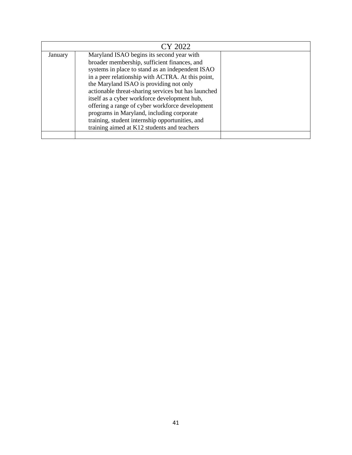| CY 2022 |                                                                                                                                                                                                                                                                                                                                                                                                                                                                                                                                                        |  |  |
|---------|--------------------------------------------------------------------------------------------------------------------------------------------------------------------------------------------------------------------------------------------------------------------------------------------------------------------------------------------------------------------------------------------------------------------------------------------------------------------------------------------------------------------------------------------------------|--|--|
| January | Maryland ISAO begins its second year with<br>broader membership, sufficient finances, and<br>systems in place to stand as an independent ISAO<br>in a peer relationship with ACTRA. At this point,<br>the Maryland ISAO is providing not only<br>actionable threat-sharing services but has launched<br>itself as a cyber workforce development hub,<br>offering a range of cyber workforce development<br>programs in Maryland, including corporate<br>training, student internship opportunities, and<br>training aimed at K12 students and teachers |  |  |
|         |                                                                                                                                                                                                                                                                                                                                                                                                                                                                                                                                                        |  |  |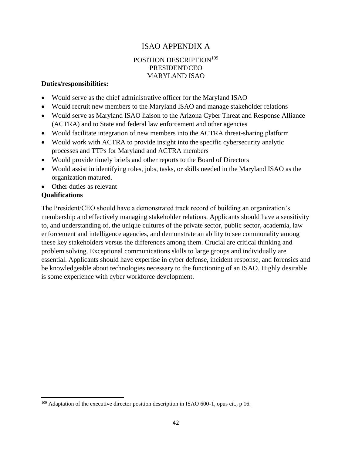#### ISAO APPENDIX A

#### POSITION DESCRIPTION<sup>109</sup> PRESIDENT/CEO MARYLAND ISAO

#### **Duties/responsibilities:**

- Would serve as the chief administrative officer for the Maryland ISAO
- Would recruit new members to the Maryland ISAO and manage stakeholder relations
- Would serve as Maryland ISAO liaison to the Arizona Cyber Threat and Response Alliance (ACTRA) and to State and federal law enforcement and other agencies
- Would facilitate integration of new members into the ACTRA threat-sharing platform
- Would work with ACTRA to provide insight into the specific cybersecurity analytic processes and TTPs for Maryland and ACTRA members
- Would provide timely briefs and other reports to the Board of Directors
- Would assist in identifying roles, jobs, tasks, or skills needed in the Maryland ISAO as the organization matured.
- Other duties as relevant

#### **Qualifications**

The President/CEO should have a demonstrated track record of building an organization's membership and effectively managing stakeholder relations. Applicants should have a sensitivity to, and understanding of, the unique cultures of the private sector, public sector, academia, law enforcement and intelligence agencies, and demonstrate an ability to see commonality among these key stakeholders versus the differences among them. Crucial are critical thinking and problem solving. Exceptional communications skills to large groups and individually are essential. Applicants should have expertise in cyber defense, incident response, and forensics and be knowledgeable about technologies necessary to the functioning of an ISAO. Highly desirable is some experience with cyber workforce development.

 $109$  Adaptation of the executive director position description in ISAO 600-1, opus cit., p 16.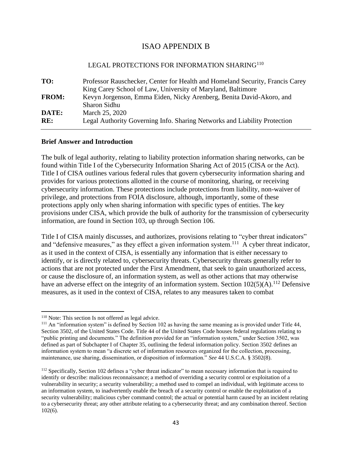#### ISAO APPENDIX B

#### LEGAL PROTECTIONS FOR INFORMATION SHARING<sup>110</sup>

**TO:** Professor Rauschecker, Center for Health and Homeland Security, Francis Carey King Carey School of Law, University of Maryland, Baltimore **FROM:** Kevyn Jorgenson, Emma Eiden, Nicky Arenberg, Benita David-Akoro, and Sharon Sidhu **DATE:** March 25, 2020 **RE:** Legal Authority Governing Info. Sharing Networks and Liability Protection

#### **Brief Answer and Introduction**

The bulk of legal authority, relating to liability protection information sharing networks, can be found within Title I of the Cybersecurity Information Sharing Act of 2015 (CISA or the Act). Title I of CISA outlines various federal rules that govern cybersecurity information sharing and provides for various protections allotted in the course of monitoring, sharing, or receiving cybersecurity information. These protections include protections from liability, non-waiver of privilege, and protections from FOIA disclosure, although, importantly, some of these protections apply only when sharing information with specific types of entities. The key provisions under CISA, which provide the bulk of authority for the transmission of cybersecurity information, are found in Section 103, up through Section 106.

Title I of CISA mainly discusses, and authorizes, provisions relating to "cyber threat indicators" and "defensive measures," as they effect a given information system.<sup>111</sup> A cyber threat indicator, as it used in the context of CISA, is essentially any information that is either necessary to identify, or is directly related to, cybersecurity threats. Cybersecurity threats generally refer to actions that are not protected under the First Amendment, that seek to gain unauthorized access, or cause the disclosure of, an information system, as well as other actions that may otherwise have an adverse effect on the integrity of an information system. Section  $102(5)(A)$ .<sup>112</sup> Defensive measures, as it used in the context of CISA, relates to any measures taken to combat

<sup>&</sup>lt;sup>110</sup> Note: This section Is not offered as legal advice.

 $111$  An "information system" is defined by Section 102 as having the same meaning as is provided under Title 44, Section 3502, of the United States Code. Title 44 of the United States Code houses federal regulations relating to "public printing and documents." The definition provided for an "information system," under Section 3502, was defined as part of Subchapter I of Chapter 35, outlining the federal information policy. Section 3502 defines an information system to mean "a discrete set of information resources organized for the collection, processing, maintenance, use sharing, dissemination, or disposition of information." *See* 44 U.S.C.A. § 3502(8).

<sup>&</sup>lt;sup>112</sup> Specifically, Section 102 defines a "cyber threat indicator" to mean necessary information that is required to identify or describe: malicious reconnaissance; a method of overriding a security control or exploitation of a vulnerability in security; a security vulnerability; a method used to compel an individual, with legitimate access to an information system, to inadvertently enable the breach of a security control or enable the exploitation of a security vulnerability; malicious cyber command control; the actual or potential harm caused by an incident relating to a cybersecurity threat; any other attribute relating to a cybersecurity threat; and any combination thereof. Section 102(6).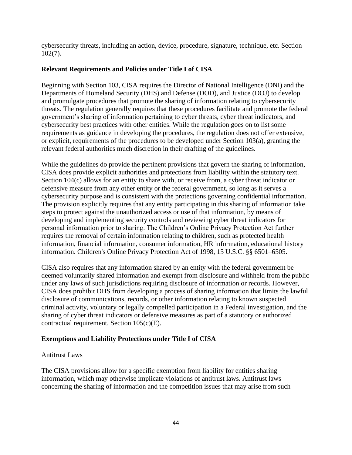cybersecurity threats, including an action, device, procedure, signature, technique, etc. Section 102(7).

#### **Relevant Requirements and Policies under Title I of CISA**

Beginning with Section 103, CISA requires the Director of National Intelligence (DNI) and the Departments of Homeland Security (DHS) and Defense (DOD), and Justice (DOJ) to develop and promulgate procedures that promote the sharing of information relating to cybersecurity threats. The regulation generally requires that these procedures facilitate and promote the federal government's sharing of information pertaining to cyber threats, cyber threat indicators, and cybersecurity best practices with other entities. While the regulation goes on to list some requirements as guidance in developing the procedures, the regulation does not offer extensive, or explicit, requirements of the procedures to be developed under Section 103(a), granting the relevant federal authorities much discretion in their drafting of the guidelines.

While the guidelines do provide the pertinent provisions that govern the sharing of information, CISA does provide explicit authorities and protections from liability within the statutory text. Section 104(c) allows for an entity to share with, or receive from, a cyber threat indicator or defensive measure from any other entity or the federal government, so long as it serves a cybersecurity purpose and is consistent with the protections governing confidential information. The provision explicitly requires that any entity participating in this sharing of information take steps to protect against the unauthorized access or use of that information, by means of developing and implementing security controls and reviewing cyber threat indicators for personal information prior to sharing. The Children's Online Privacy Protection Act further requires the removal of certain information relating to children, such as protected health information, financial information, consumer information, HR information, educational history information. Children's Online Privacy Protection Act of 1998, 15 U.S.C. §§ 6501–6505.

CISA also requires that any information shared by an entity with the federal government be deemed voluntarily shared information and exempt from disclosure and withheld from the public under any laws of such jurisdictions requiring disclosure of information or records. However, CISA does prohibit DHS from developing a process of sharing information that limits the lawful disclosure of communications, records, or other information relating to known suspected criminal activity, voluntary or legally compelled participation in a Federal investigation, and the sharing of cyber threat indicators or defensive measures as part of a statutory or authorized contractual requirement. Section 105(c)(E).

#### **Exemptions and Liability Protections under Title I of CISA**

#### Antitrust Laws

The CISA provisions allow for a specific exemption from liability for entities sharing information, which may otherwise implicate violations of antitrust laws. Antitrust laws concerning the sharing of information and the competition issues that may arise from such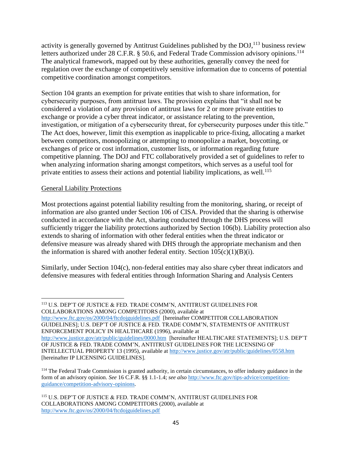activity is generally governed by Antitrust Guidelines published by the  $DO<sub>1</sub><sup>113</sup>$  business review letters authorized under 28 C.F.R. § 50.6, and Federal Trade Commission advisory opinions.<sup>114</sup> The analytical framework, mapped out by these authorities, generally convey the need for regulation over the exchange of competitively sensitive information due to concerns of potential competitive coordination amongst competitors.

Section 104 grants an exemption for private entities that wish to share information, for cybersecurity purposes, from antitrust laws. The provision explains that "it shall not be considered a violation of any provision of antitrust laws for 2 or more private entities to exchange or provide a cyber threat indicator, or assistance relating to the prevention, investigation, or mitigation of a cybersecurity threat, for cybersecurity purposes under this title." The Act does, however, limit this exemption as inapplicable to price-fixing, allocating a market between competitors, monopolizing or attempting to monopolize a market, boycotting, or exchanges of price or cost information, customer lists, or information regarding future competitive planning. The DOJ and FTC collaboratively provided a set of guidelines to refer to when analyzing information sharing amongst competitors, which serves as a useful tool for private entities to assess their actions and potential liability implications, as well.<sup>115</sup>

#### General Liability Protections

Most protections against potential liability resulting from the monitoring, sharing, or receipt of information are also granted under Section 106 of CISA. Provided that the sharing is otherwise conducted in accordance with the Act, sharing conducted through the DHS process will sufficiently trigger the liability protections authorized by Section 106(b). Liability protection also extends to sharing of information with other federal entities when the threat indicator or defensive measure was already shared with DHS through the appropriate mechanism and then the information is shared with another federal entity. Section  $105(c)(1)(B)(i)$ .

Similarly, under Section 104(c), non-federal entities may also share cyber threat indicators and defensive measures with federal entities through Information Sharing and Analysis Centers

<sup>113</sup> U.S. DEP'T OF JUSTICE & FED. TRADE COMM'N, ANTITRUST GUIDELINES FOR COLLABORATIONS AMONG COMPETITORS (2000), available at <http://www.ftc.gov/os/2000/04/ftcdojguidelines.pdf>[hereinafter COMPETITOR COLLABORATION GUIDELINES]; U.S. DEP'T OF JUSTICE & FED. TRADE COMM'N, STATEMENTS OF ANTITRUST ENFORCEMENT POLICY IN HEALTHCARE (1996), available at <http://www.justice.gov/atr/public/guidelines/0000.htm>[hereinafter HEALTHCARE STATEMENTS]; U.S. DEP'T OF JUSTICE & FED. TRADE COMM'N, ANTITRUST GUIDELINES FOR THE LICENSING OF INTELLECTUAL PROPERTY 13 (1995), available at<http://www.justice.gov/atr/public/guidelines/0558.htm> [hereinafter IP LICENSING GUIDELINES].

<sup>&</sup>lt;sup>114</sup> The Federal Trade Commission is granted authority, in certain circumstances, to offer industry guidance in the form of an advisory opinion. *See* 16 C.F.R. §§ 1.1-1.4; *see also* [http://www.ftc.gov/tips-advice/competition](http://www.ftc.gov/tips-advice/competition-guidance/competition-advisory-opinions)[guidance/competition-advisory-opinions.](http://www.ftc.gov/tips-advice/competition-guidance/competition-advisory-opinions)

<sup>115</sup> U.S. DEP'T OF JUSTICE & FED. TRADE COMM'N, ANTITRUST GUIDELINES FOR COLLABORATIONS AMONG COMPETITORS (2000), available at <http://www.ftc.gov/os/2000/04/ftcdojguidelines.pdf>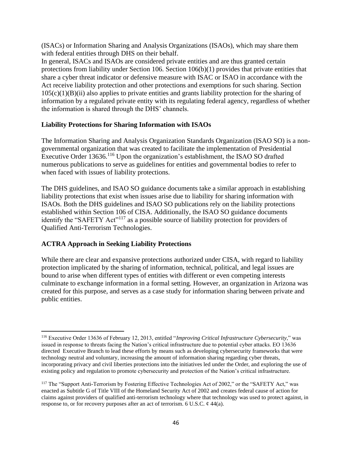(ISACs) or Information Sharing and Analysis Organizations (ISAOs), which may share them with federal entities through DHS on their behalf.

In general, ISACs and ISAOs are considered private entities and are thus granted certain protections from liability under Section 106. Section 106(b)(1) provides that private entities that share a cyber threat indicator or defensive measure with ISAC or ISAO in accordance with the Act receive liability protection and other protections and exemptions for such sharing. Section  $105(c)(1)(B)(ii)$  also applies to private entities and grants liability protection for the sharing of information by a regulated private entity with its regulating federal agency, regardless of whether the information is shared through the DHS' channels.

#### **Liability Protections for Sharing Information with ISAOs**

The Information Sharing and Analysis Organization Standards Organization (ISAO SO) is a nongovernmental organization that was created to facilitate the implementation of Presidential Executive Order 13636.<sup>116</sup> Upon the organization's establishment, the ISAO SO drafted numerous publications to serve as guidelines for entities and governmental bodies to refer to when faced with issues of liability protections.

The DHS guidelines, and ISAO SO guidance documents take a similar approach in establishing liability protections that exist when issues arise due to liability for sharing information with ISAOs. Both the DHS guidelines and ISAO SO publications rely on the liability protections established within Section 106 of CISA. Additionally, the ISAO SO guidance documents identify the "SAFETY Act"<sup>117</sup> as a possible source of liability protection for providers of Qualified Anti-Terrorism Technologies.

#### **ACTRA Approach in Seeking Liability Protections**

While there are clear and expansive protections authorized under CISA, with regard to liability protection implicated by the sharing of information, technical, political, and legal issues are bound to arise when different types of entities with different or even competing interests culminate to exchange information in a formal setting. However, an organization in Arizona was created for this purpose, and serves as a case study for information sharing between private and public entities.

<sup>116</sup> Executive Order 13636 of February 12, 2013, entitled "*Improving Critical Infrastructure Cybersecurity*," was issued in response to threats facing the Nation's critical infrastructure due to potential cyber attacks. EO 13636 directed Executive Branch to lead these efforts by means such as developing cybersecurity frameworks that were technology neutral and voluntary, increasing the amount of information sharing regarding cyber threats, incorporating privacy and civil liberties protections into the initiatives led under the Order, and exploring the use of existing policy and regulation to promote cybersecurity and protection of the Nation's critical infrastructure.

<sup>&</sup>lt;sup>117</sup> The "Support Anti-Terrorism by Fostering Effective Technologies Act of 2002," or the "SAFETY Act," was enacted as Subtitle G of Title VIII of the Homeland Security Act of 2002 and creates federal cause of action for claims against providers of qualified anti-terrorism technology where that technology was used to protect against, in response to, or for recovery purposes after an act of terrorism. 6 U.S.C.  $\phi$  44(a).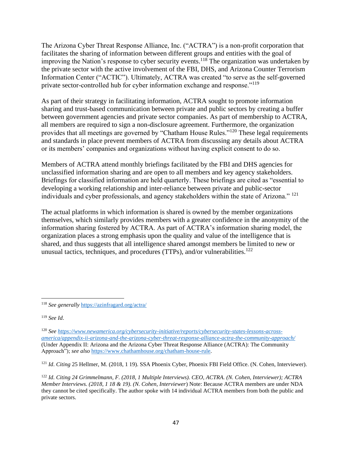The Arizona Cyber Threat Response Alliance, Inc. ("ACTRA") is a non-profit corporation that facilitates the sharing of information between different groups and entities with the goal of improving the Nation's response to cyber security events.<sup>118</sup> The organization was undertaken by the private sector with the active involvement of the FBI, DHS, and Arizona Counter Terrorism Information Center ("ACTIC"). Ultimately, ACTRA was created "to serve as the self-governed private sector-controlled hub for cyber information exchange and response."<sup>119</sup>

As part of their strategy in facilitating information, ACTRA sought to promote information sharing and trust-based communication between private and public sectors by creating a buffer between government agencies and private sector companies. As part of membership to ACTRA, all members are required to sign a non-disclosure agreement. Furthermore, the organization provides that all meetings are governed by "Chatham House Rules."<sup>120</sup> These legal requirements and standards in place prevent members of ACTRA from discussing any details about ACTRA or its members' companies and organizations without having explicit consent to do so.

Members of ACTRA attend monthly briefings facilitated by the FBI and DHS agencies for unclassified information sharing and are open to all members and key agency stakeholders. Briefings for classified information are held quarterly. These briefings are cited as "essential to developing a working relationship and inter-reliance between private and public-sector individuals and cyber professionals, and agency stakeholders within the state of Arizona." <sup>121</sup>

The actual platforms in which information is shared is owned by the member organizations themselves, which similarly provides members with a greater confidence in the anonymity of the information sharing fostered by ACTRA. As part of ACTRA's information sharing model, the organization places a strong emphasis upon the quality and value of the intelligence that is shared, and thus suggests that all intelligence shared amongst members be limited to new or unusual tactics, techniques, and procedures (TTPs), and/or vulnerabilities.<sup>122</sup>

<sup>118</sup> *See generally* <https://azinfragard.org/actra/>

<sup>119</sup> *See Id*.

<sup>120</sup> *Se[e https://www.newamerica.org/cybersecurity-initiative/reports/cybersecurity-states-lessons-across](https://www.newamerica.org/cybersecurity-initiative/reports/cybersecurity-states-lessons-across-america/appendix-ii-arizona-and-the-arizona-cyber-threat-response-alliance-actra-the-community-approach/)[america/appendix-ii-arizona-and-the-arizona-cyber-threat-response-alliance-actra-the-community-approach/](https://www.newamerica.org/cybersecurity-initiative/reports/cybersecurity-states-lessons-across-america/appendix-ii-arizona-and-the-arizona-cyber-threat-response-alliance-actra-the-community-approach/)* (Under Appendix II: Arizona and the Arizona Cyber Threat Response Alliance (ACTRA): The Community Approach"); *see also* <https://www.chathamhouse.org/chatham-house-rule>.

<sup>&</sup>lt;sup>121</sup> *Id. Citing* 25 Hellmer, M. (2018, 1 19). SSA Phoenix Cyber, Phoenix FBI Field Office. (N. Cohen, Interviewer).

<sup>122</sup> *Id*. *Citing 24 Grimmelmann, F. (2018, 1 Multiple Interviews). CEO, ACTRA. (N. Cohen, Interviewer); ACTRA Member Interviews. (2018, 1 18 & 19). (N. Cohen, Interviewer*) Note: Because ACTRA members are under NDA they cannot be cited specifically. The author spoke with 14 individual ACTRA members from both the public and private sectors.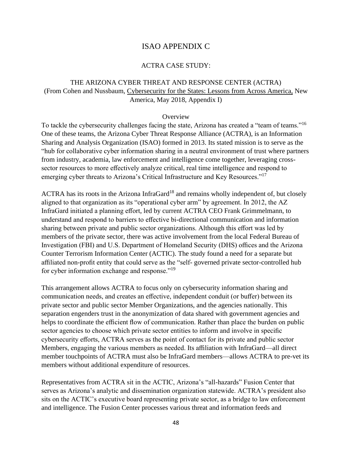#### ISAO APPENDIX C

#### ACTRA CASE STUDY:

#### THE ARIZONA CYBER THREAT AND RESPONSE CENTER (ACTRA) (From Cohen and Nussbaum, Cybersecurity for the States: Lessons from Across America, New America, May 2018, Appendix I)

#### **Overview**

To tackle the cybersecurity challenges facing the state, Arizona has created a "team of teams."<sup>16</sup> One of these teams, the Arizona Cyber Threat Response Alliance (ACTRA), is an Information Sharing and Analysis Organization (ISAO) formed in 2013. Its stated mission is to serve as the "hub for collaborative cyber information sharing in a neutral environment of trust where partners from industry, academia, law enforcement and intelligence come together, leveraging crosssector resources to more effectively analyze critical, real time intelligence and respond to emerging cyber threats to Arizona's Critical Infrastructure and Key Resources."<sup>17</sup>

ACTRA has its roots in the Arizona InfraGard<sup>18</sup> and remains wholly independent of, but closely aligned to that organization as its "operational cyber arm" by agreement. In 2012, the AZ InfraGard initiated a planning effort, led by current ACTRA CEO Frank Grimmelmann, to understand and respond to barriers to effective bi-directional communication and information sharing between private and public sector organizations. Although this effort was led by members of the private sector, there was active involvement from the local Federal Bureau of Investigation (FBI) and U.S. Department of Homeland Security (DHS) offices and the Arizona Counter Terrorism Information Center (ACTIC). The study found a need for a separate but affiliated non-profit entity that could serve as the "self- governed private sector-controlled hub for cyber information exchange and response."<sup>19</sup>

This arrangement allows ACTRA to focus only on cybersecurity information sharing and communication needs, and creates an effective, independent conduit (or buffer) between its private sector and public sector Member Organizations, and the agencies nationally. This separation engenders trust in the anonymization of data shared with government agencies and helps to coordinate the efficient flow of communication. Rather than place the burden on public sector agencies to choose which private sector entities to inform and involve in specific cybersecurity efforts, ACTRA serves as the point of contact for its private and public sector Members, engaging the various members as needed. Its affiliation with InfraGard—all direct member touchpoints of ACTRA must also be InfraGard members—allows ACTRA to pre-vet its members without additional expenditure of resources.

Representatives from ACTRA sit in the ACTIC, Arizona's "all-hazards" Fusion Center that serves as Arizona's analytic and dissemination organization statewide. ACTRA's president also sits on the ACTIC's executive board representing private sector, as a bridge to law enforcement and intelligence. The Fusion Center processes various threat and information feeds and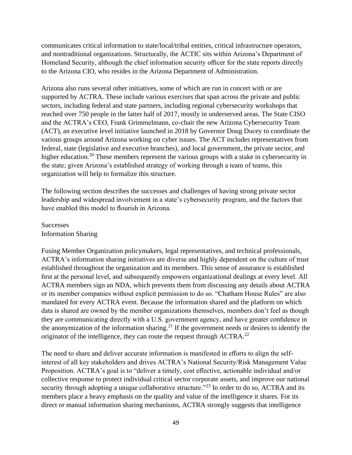communicates critical information to state/local/tribal entities, critical infrastructure operators, and nontraditional organizations. Structurally, the ACTIC sits within Arizona's Department of Homeland Security, although the chief information security officer for the state reports directly to the Arizona CIO, who resides in the Arizona Department of Administration.

Arizona also runs several other initiatives, some of which are run in concert with or are supported by ACTRA. These include various exercises that span across the private and public sectors, including federal and state partners, including regional cybersecurity workshops that reached over 750 people in the latter half of 2017, mostly in underserved areas. The State CISO and the ACTRA's CEO, Frank Grimmelmann, co-chair the new Arizona Cybersecurity Team (ACT), an executive level initiative launched in 2018 by Governor Doug Ducey to coordinate the various groups around Arizona working on cyber issues. The ACT includes representatives from federal, state (legislative and executive branches), and local government, the private sector, and higher education.<sup>20</sup> These members represent the various groups with a stake in cybersecurity in the state; given Arizona's established strategy of working through a team of teams, this organization will help to formalize this structure.

The following section describes the successes and challenges of having strong private sector leadership and widespread involvement in a state's cybersecurity program, and the factors that have enabled this model to flourish in Arizona.

**Successes** Information Sharing

Fusing Member Organization policymakers, legal representatives, and technical professionals, ACTRA's information sharing initiatives are diverse and highly dependent on the culture of trust established throughout the organization and its members. This sense of assurance is established first at the personal level, and subsequently empowers organizational dealings at every level. All ACTRA members sign an NDA, which prevents them from discussing any details about ACTRA or its member companies without explicit permission to do so. "Chatham House Rules" are also mandated for every ACTRA event. Because the information shared and the platform on which data is shared are owned by the member organizations themselves, members don't feel as though they are communicating directly with a U.S. government agency, and have greater confidence in the anonymization of the information sharing.<sup>21</sup> If the government needs or desires to identify the originator of the intelligence, they can route the request through  $ACTRA$ <sup>22</sup>

The need to share and deliver accurate information is manifested in efforts to align the selfinterest of all key stakeholders and drives ACTRA's National Security/Risk Management Value Proposition. ACTRA's goal is to "deliver a timely, cost effective, actionable individual and/or collective response to protect individual critical sector corporate assets, and improve our national security through adopting a unique collaborative structure."<sup>23</sup> In order to do so, ACTRA and its members place a heavy emphasis on the quality and value of the intelligence it shares. For its direct or manual information sharing mechanisms, ACTRA strongly suggests that intelligence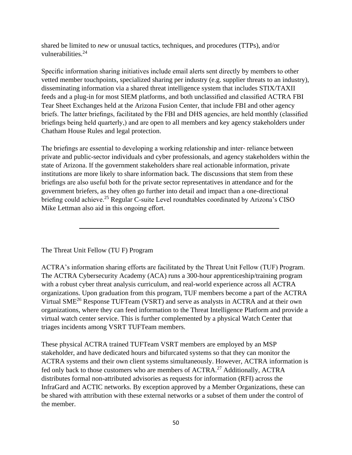shared be limited to *new* or unusual tactics, techniques, and procedures (TTPs), and/or vulnerabilities.<sup>24</sup>

Specific information sharing initiatives include email alerts sent directly by members to other vetted member touchpoints, specialized sharing per industry (e.g. supplier threats to an industry), disseminating information via a shared threat intelligence system that includes STIX/TAXII feeds and a plug-in for most SIEM platforms, and both unclassified and classified ACTRA FBI Tear Sheet Exchanges held at the Arizona Fusion Center, that include FBI and other agency briefs. The latter briefings, facilitated by the FBI and DHS agencies, are held monthly (classified briefings being held quarterly,) and are open to all members and key agency stakeholders under Chatham House Rules and legal protection.

The briefings are essential to developing a working relationship and inter- reliance between private and public-sector individuals and cyber professionals, and agency stakeholders within the state of Arizona. If the government stakeholders share real actionable information, private institutions are more likely to share information back. The discussions that stem from these briefings are also useful both for the private sector representatives in attendance and for the government briefers, as they often go further into detail and impact than a one-directional briefing could achieve.<sup>25</sup> Regular C-suite Level roundtables coordinated by Arizona's CISO Mike Lettman also aid in this ongoing effort.

The Threat Unit Fellow (TU F) Program

ACTRA's information sharing efforts are facilitated by the Threat Unit Fellow (TUF) Program. The ACTRA Cybersecurity Academy (ACA) runs a 300-hour apprenticeship/training program with a robust cyber threat analysis curriculum, and real-world experience across all ACTRA organizations. Upon graduation from this program, TUF members become a part of the ACTRA Virtual SME<sup>26</sup> Response TUFTeam (VSRT) and serve as analysts in ACTRA and at their own organizations, where they can feed information to the Threat Intelligence Platform and provide a virtual watch center service. This is further complemented by a physical Watch Center that triages incidents among VSRT TUFTeam members.

These physical ACTRA trained TUFTeam VSRT members are employed by an MSP stakeholder, and have dedicated hours and bifurcated systems so that they can monitor the ACTRA systems and their own client systems simultaneously. However, ACTRA information is fed only back to those customers who are members of ACTRA.<sup>27</sup> Additionally, ACTRA distributes formal non-attributed advisories as requests for information (RFI) across the InfraGard and ACTIC networks. By exception approved by a Member Organizations, these can be shared with attribution with these external networks or a subset of them under the control of the member.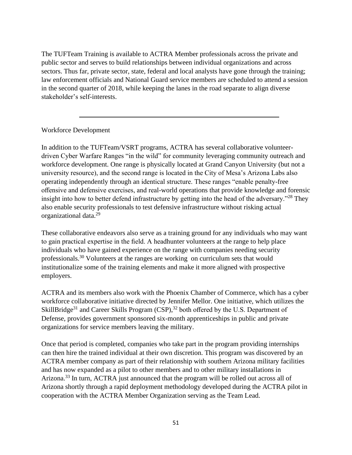The TUFTeam Training is available to ACTRA Member professionals across the private and public sector and serves to build relationships between individual organizations and across sectors. Thus far, private sector, state, federal and local analysts have gone through the training; law enforcement officials and National Guard service members are scheduled to attend a session in the second quarter of 2018, while keeping the lanes in the road separate to align diverse stakeholder's self-interests.

#### Workforce Development

In addition to the TUFTeam/VSRT programs, ACTRA has several collaborative volunteerdriven Cyber Warfare Ranges "in the wild" for community leveraging community outreach and workforce development. One range is physically located at Grand Canyon University (but not a university resource), and the second range is located in the City of Mesa's Arizona Labs also operating independently through an identical structure. These ranges "enable penalty-free offensive and defensive exercises, and real-world operations that provide knowledge and forensic insight into how to better defend infrastructure by getting into the head of the adversary."<sup>28</sup> They also enable security professionals to test defensive infrastructure without risking actual organizational data.<sup>29</sup>

These collaborative endeavors also serve as a training ground for any individuals who may want to gain practical expertise in the field. A headhunter volunteers at the range to help place individuals who have gained experience on the range with companies needing security professionals.<sup>30</sup> Volunteers at the ranges are working on curriculum sets that would institutionalize some of the training elements and make it more aligned with prospective employers.

ACTRA and its members also work with the Phoenix Chamber of Commerce, which has a cyber workforce collaborative initiative directed by Jennifer Mellor. One initiative, which utilizes the SkillBridge<sup>31</sup> and Career Skills Program  $(CSP)$ ,<sup>32</sup> both offered by the U.S. Department of Defense, provides government sponsored six-month apprenticeships in public and private organizations for service members leaving the military.

Once that period is completed, companies who take part in the program providing internships can then hire the trained individual at their own discretion. This program was discovered by an ACTRA member company as part of their relationship with southern Arizona military facilities and has now expanded as a pilot to other members and to other military installations in Arizona.<sup>33</sup> In turn, ACTRA just announced that the program will be rolled out across all of Arizona shortly through a rapid deployment methodology developed during the ACTRA pilot in cooperation with the ACTRA Member Organization serving as the Team Lead.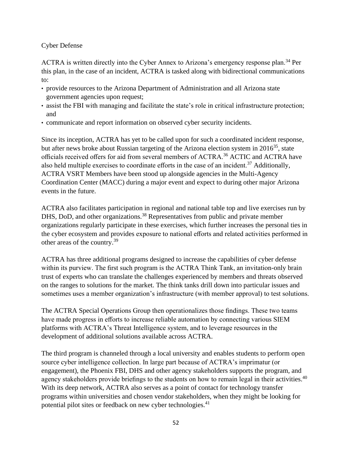#### Cyber Defense

ACTRA is written directly into the Cyber Annex to Arizona's emergency response plan.<sup>34</sup> Per this plan, in the case of an incident, ACTRA is tasked along with bidirectional communications to:

- provide resources to the Arizona Department of Administration and all Arizona state government agencies upon request;
- assist the FBI with managing and facilitate the state's role in critical infrastructure protection; and
- communicate and report information on observed cyber security incidents.

Since its inception, ACTRA has yet to be called upon for such a coordinated incident response, but after news broke about Russian targeting of the Arizona election system in  $2016^{35}$ , state officials received offers for aid from several members of ACTRA.<sup>36</sup> ACTIC and ACTRA have also held multiple exercises to coordinate efforts in the case of an incident.<sup>37</sup> Additionally, ACTRA VSRT Members have been stood up alongside agencies in the Multi-Agency Coordination Center (MACC) during a major event and expect to during other major Arizona events in the future.

ACTRA also facilitates participation in regional and national table top and live exercises run by DHS, DoD, and other organizations.<sup>38</sup> Representatives from public and private member organizations regularly participate in these exercises, which further increases the personal ties in the cyber ecosystem and provides exposure to national efforts and related activities performed in other areas of the country.<sup>39</sup>

ACTRA has three additional programs designed to increase the capabilities of cyber defense within its purview. The first such program is the ACTRA Think Tank, an invitation-only brain trust of experts who can translate the challenges experienced by members and threats observed on the ranges to solutions for the market. The think tanks drill down into particular issues and sometimes uses a member organization's infrastructure (with member approval) to test solutions.

The ACTRA Special Operations Group then operationalizes those findings. These two teams have made progress in efforts to increase reliable automation by connecting various SIEM platforms with ACTRA's Threat Intelligence system, and to leverage resources in the development of additional solutions available across ACTRA.

The third program is channeled through a local university and enables students to perform open source cyber intelligence collection. In large part because of ACTRA's imprimatur (or engagement), the Phoenix FBI, DHS and other agency stakeholders supports the program, and agency stakeholders provide briefings to the students on how to remain legal in their activities.<sup>40</sup> With its deep network, ACTRA also serves as a point of contact for technology transfer programs within universities and chosen vendor stakeholders, when they might be looking for potential pilot sites or feedback on new cyber technologies.<sup>41</sup>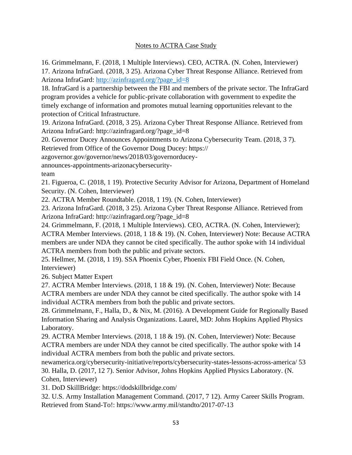#### Notes to ACTRA Case Study

16. Grimmelmann, F. (2018, 1 Multiple Interviews). CEO, ACTRA. (N. Cohen, Interviewer) 17. Arizona InfraGard. (2018, 3 25). Arizona Cyber Threat Response Alliance. Retrieved from Arizona InfraGard: [http://azinfragard.org/?page\\_id=8](http://azinfragard.org/?page_id=8)

18. InfraGard is a partnership between the FBI and members of the private sector. The InfraGard program provides a vehicle for public-private collaboration with government to expedite the timely exchange of information and promotes mutual learning opportunities relevant to the protection of Critical Infrastructure.

19. Arizona InfraGard. (2018, 3 25). Arizona Cyber Threat Response Alliance. Retrieved from Arizona InfraGard: [http://azinfragard.org/?page\\_id=8](http://azinfragard.org/?page_id=8)

20. Governor Ducey Announces Appointments to Arizona Cybersecurity Team. (2018, 3 7).

Retrieved from Office of the Governor Doug Ducey: [https://](https://azgovernor.gov/governor/news/2018/03/governorducey-announces-appointments-arizonacybersecurity-team)

[azgovernor.gov/governor/news/2018/03/governorducey-](https://azgovernor.gov/governor/news/2018/03/governorducey-announces-appointments-arizonacybersecurity-team)

[announces-appointments-arizonacybersecurity-](https://azgovernor.gov/governor/news/2018/03/governorducey-announces-appointments-arizonacybersecurity-team)

[team](https://azgovernor.gov/governor/news/2018/03/governorducey-announces-appointments-arizonacybersecurity-team)

21. Figueroa, C. (2018, 1 19). Protective Security Advisor for Arizona, Department of Homeland Security. (N. Cohen, Interviewer)

22. ACTRA Member Roundtable. (2018, 1 19). (N. Cohen, Interviewer)

23. Arizona InfraGard. (2018, 3 25). Arizona Cyber Threat Response Alliance. Retrieved from Arizona InfraGard: [http://azinfragard.org/?page\\_id=8](http://azinfragard.org/?page_id=8)

24. Grimmelmann, F. (2018, 1 Multiple Interviews). CEO, ACTRA. (N. Cohen, Interviewer); ACTRA Member Interviews. (2018, 1 18 & 19). (N. Cohen, Interviewer) Note: Because ACTRA members are under NDA they cannot be cited specifically. The author spoke with 14 individual ACTRA members from both the public and private sectors.

25. Hellmer, M. (2018, 1 19). SSA Phoenix Cyber, Phoenix FBI Field Once. (N. Cohen, Interviewer)

26. Subject Matter Expert

27. ACTRA Member Interviews. (2018, 1 18 & 19). (N. Cohen, Interviewer) Note: Because ACTRA members are under NDA they cannot be cited specifically. The author spoke with 14 individual ACTRA members from both the public and private sectors.

28. Grimmelmann, F., Halla, D., & Nix, M. (2016). A Development Guide for Regionally Based Information Sharing and Analysis Organizations. Laurel, MD: Johns Hopkins Applied Physics Laboratory.

29. ACTRA Member Interviews. (2018, 1 18 & 19). (N. Cohen, Interviewer) Note: Because ACTRA members are under NDA they cannot be cited specifically. The author spoke with 14 individual ACTRA members from both the public and private sectors.

[newamerica.org/cybersecurity-initiative/reports/cybersecurity-states-lessons-across-america/]( newamerica.org/cybersecurity-initiative/reports/cybersecurity-states-lessons-across-america/ ) 53 30. Halla, D. (2017, 12 7). Senior Advisor, Johns Hopkins Applied Physics Laboratory. (N. Cohen, Interviewer)

31. DoD SkillBridge: <https://dodskillbridge.com/>

32. U.S. Army Installation Management Command. (2017, 7 12). Army Career Skills Program. Retrieved from Stand-To!: <https://www.army.mil/standto/2017-07-13>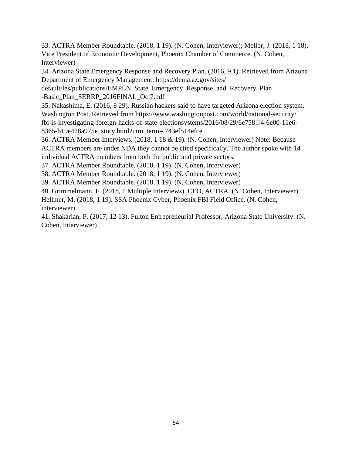33. ACTRA Member Roundtable. (2018, 1 19). (N. Cohen, Interviewer); Mellor, J. (2018, 1 18). Vice President of Economic Development, Phoenix Chamber of Commerce. (N. Cohen, Interviewer)

34. Arizona State Emergency Response and Recovery Plan. (2016, 9 1). Retrieved from Arizona Department of Emergency Management: [https://dema.az.gov/sites/](https://dema.az.gov/sites/default/les/publications/EMPLN_State_Emergency_Response_and_Recovery_Plan-Basic_Plan_SERRP_2016FINAL_Oct7.pdf)

[default/les/publications/EMPLN\\_State\\_Emergency\\_Response\\_and\\_Recovery\\_Plan](https://dema.az.gov/sites/default/les/publications/EMPLN_State_Emergency_Response_and_Recovery_Plan-Basic_Plan_SERRP_2016FINAL_Oct7.pdf) [-Basic\\_Plan\\_SERRP\\_2016FINAL\\_Oct7.pdf](https://dema.az.gov/sites/default/les/publications/EMPLN_State_Emergency_Response_and_Recovery_Plan-Basic_Plan_SERRP_2016FINAL_Oct7.pdf)

35. Nakashima, E. (2016, 8 29). Russian hackers said to have targeted Arizona election system. Washington Post. Retrieved from [https://www.washingtonpost.com/world/national-security/](��   h t t p s : / / w w w . w a s h i n g t o n p o s t . c o m / w o r l d / n a t i o n a l - s e c u r i t y / f b i - i s - i n v e s t i g a t i n g - f o r e i g n - h a c k s - o f - s t a t e - e l e c t i o n s y s t e m s / 2 0 1 6 / 0 8 / 2 9 / 6 e 7 5 8��� 4 - 6 e 0 0 - 1 1 e 6 - 8 3 6 5 - b 1 9 e 4 2 8 a 9 7 5 e _ s t o r y . h t m l ? u t m _ t e r m = . 7 4 3 e f 5 1 4 e f c e  ) fbi-is-investigating-foreign-hacks-of-state-electionsystems/2016/08/29/6e758 $\Box$ 4-6e00-11e6-[8365-b19e428a975e\\_story.html?utm\\_term=.743ef514efce](��   h t t p s : / / w w w . w a s h i n g t o n p o s t . c o m / w o r l d / n a t i o n a l - s e c u r i t y / f b i - i s - i n v e s t i g a t i n g - f o r e i g n - h a c k s - o f - s t a t e - e l e c t i o n s y s t e m s / 2 0 1 6 / 0 8 / 2 9 / 6 e 7 5 8��� 4 - 6 e 0 0 - 1 1 e 6 - 8 3 6 5 - b 1 9 e 4 2 8 a 9 7 5 e _ s t o r y . h t m l ? u t m _ t e r m = . 7 4 3 e f 5 1 4 e f c e  )

36. ACTRA Member Interviews. (2018, 1 18 & 19). (N. Cohen, Interviewer) Note: Because ACTRA members are under NDA they cannot be cited specifically. The author spoke with 14 individual ACTRA members from both the public and private sectors.

37. ACTRA Member Roundtable. (2018, 1 19). (N. Cohen, Interviewer)

38. ACTRA Member Roundtable. (2018, 1 19). (N. Cohen, Interviewer)

39. ACTRA Member Roundtable. (2018, 1 19). (N. Cohen, Interviewer)

40. Grimmelmann, F. (2018, 1 Multiple Interviews). CEO, ACTRA. (N. Cohen, Interviewer); Hellmer, M. (2018, 1 19). SSA Phoenix Cyber, Phoenix FBI Field Office. (N. Cohen, interviewer)

41. Shakarian, P. (2017, 12 13). Fulton Entrepreneurial Professor, Arizona State University. (N. Cohen, Interviewer)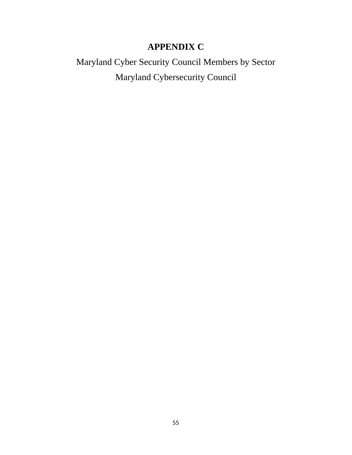# **APPENDIX C**

Maryland Cyber Security Council Members by Sector Maryland Cybersecurity Council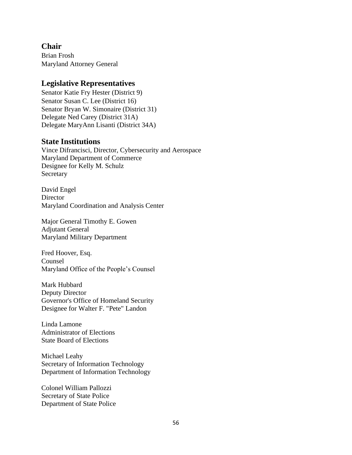#### **Chair**

Brian Frosh Maryland Attorney General

#### **Legislative Representatives**

Senator Katie Fry Hester (District 9) Senator Susan C. Lee (District 16) Senator Bryan W. Simonaire (District 31) Delegate Ned Carey (District 31A) Delegate MaryAnn Lisanti (District 34A)

#### **State Institutions**

Vince Difrancisci, Director, Cybersecurity and Aerospace Maryland Department of Commerce Designee for Kelly M. Schulz Secretary

David Engel **Director** Maryland Coordination and Analysis Center

Major General Timothy E. Gowen Adjutant General Maryland Military Department

Fred Hoover, Esq. Counsel Maryland Office of the People's Counsel

Mark Hubbard Deputy Director Governor's Office of Homeland Security Designee for Walter F. "Pete" Landon

Linda Lamone Administrator of Elections State Board of Elections

Michael Leahy Secretary of Information Technology Department of Information Technology

Colonel William Pallozzi Secretary of State Police Department of State Police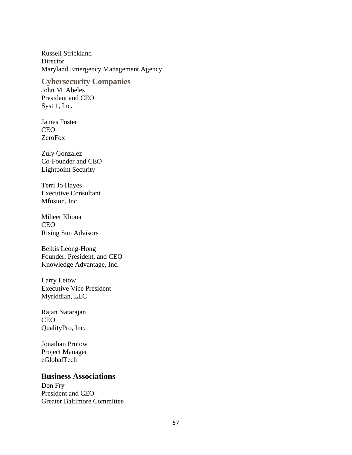Russell Strickland **Director** Maryland Emergency Management Agency

**Cybersecurity Companies**  John M. Abeles President and CEO Syst 1, Inc.

James Foster **CEO** ZeroFox

Zuly Gonzalez Co-Founder and CEO Lightpoint Security

Terri Jo Hayes Executive Consultant Mfusion, Inc.

Miheer Khona CEO Rising Sun Advisors

Belkis Leong-Hong Founder, President, and CEO Knowledge Advantage, Inc.

Larry Letow Executive Vice President Myriddian, LLC

Rajan Natarajan CEO QualityPro, Inc.

Jonathan Prutow Project Manager eGlobalTech

#### **Business Associations**

Don Fry President and CEO Greater Baltimore Committee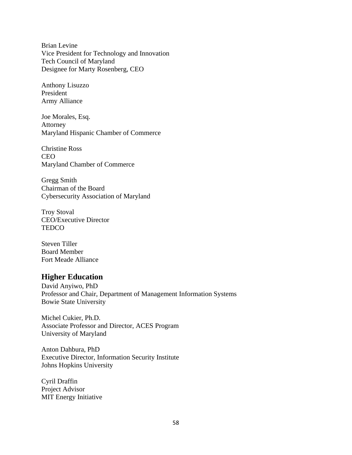Brian Levine Vice President for Technology and Innovation Tech Council of Maryland Designee for Marty Rosenberg, CEO

Anthony Lisuzzo President Army Alliance

Joe Morales, Esq. Attorney Maryland Hispanic Chamber of Commerce

Christine Ross CEO Maryland Chamber of Commerce

Gregg Smith Chairman of the Board Cybersecurity Association of Maryland

Troy Stoval CEO/Executive Director **TEDCO** 

Steven Tiller Board Member Fort Meade Alliance

#### **Higher Education**

David Anyiwo, PhD Professor and Chair, Department of Management Information Systems Bowie State University

Michel Cukier, Ph.D. Associate Professor and Director, ACES Program University of Maryland

Anton Dahbura, PhD Executive Director, Information Security Institute Johns Hopkins University

Cyril Draffin Project Advisor MIT Energy Initiative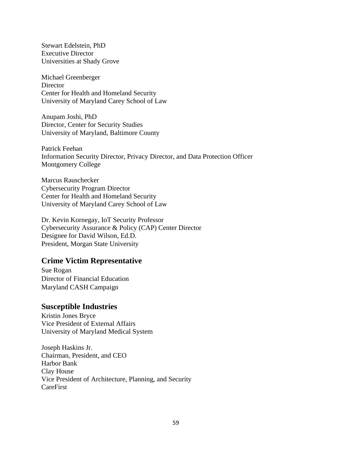Stewart Edelstein, PhD Executive Director Universities at Shady Grove

Michael Greenberger **Director** Center for Health and Homeland Security University of Maryland Carey School of Law

Anupam Joshi, PhD Director, Center for Security Studies University of Maryland, Baltimore County

Patrick Feehan Information Security Director, Privacy Director, and Data Protection Officer Montgomery College

Marcus Rauschecker Cybersecurity Program Director Center for Health and Homeland Security University of Maryland Carey School of Law

Dr. Kevin Kornegay, IoT Security Professor Cybersecurity Assurance & Policy (CAP) Center Director Designee for David Wilson, Ed.D. President, Morgan State University

#### **Crime Victim Representative**

Sue Rogan Director of Financial Education Maryland CASH Campaign

#### **Susceptible Industries**

Kristin Jones Bryce Vice President of External Affairs University of Maryland Medical System

Joseph Haskins Jr. Chairman, President, and CEO Harbor Bank Clay House Vice President of Architecture, Planning, and Security CareFirst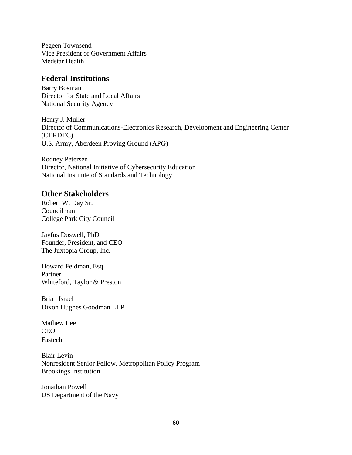Pegeen Townsend Vice President of Government Affairs Medstar Health

#### **Federal Institutions**

Barry Bosman Director for State and Local Affairs National Security Agency

Henry J. Muller Director of Communications-Electronics Research, Development and Engineering Center (CERDEC) U.S. Army, Aberdeen Proving Ground (APG)

Rodney Petersen Director, National Initiative of Cybersecurity Education National Institute of Standards and Technology

#### **Other Stakeholders**

Robert W. Day Sr. Councilman College Park City Council

Jayfus Doswell, PhD Founder, President, and CEO The Juxtopia Group, Inc.

Howard Feldman, Esq. Partner Whiteford, Taylor & Preston

Brian Israel Dixon Hughes Goodman LLP

Mathew Lee CEO Fastech

Blair Levin Nonresident Senior Fellow, Metropolitan Policy Program Brookings Institution

Jonathan Powell US Department of the Navy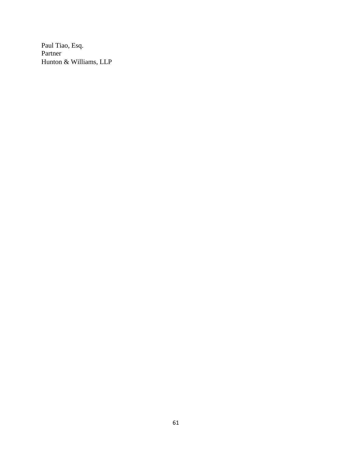Paul Tiao, Esq. Partner Hunton & Williams, LLP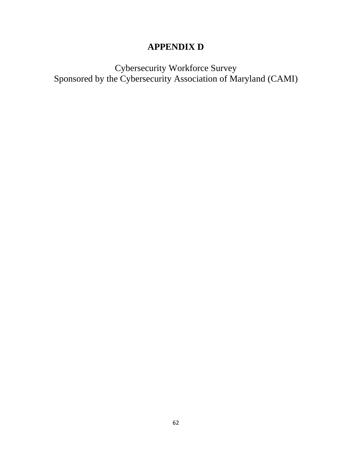# **APPENDIX D**

Cybersecurity Workforce Survey Sponsored by the Cybersecurity Association of Maryland (CAMI)